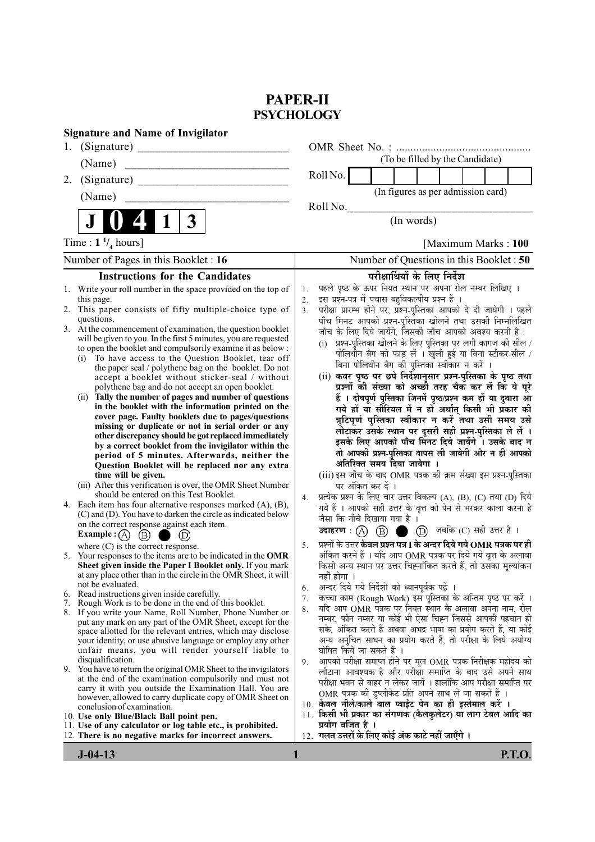# **PAPER-II PSYCHOLOGY**

| <b>Signature and Name of Invigilator</b>                                                                                                                                                                                                                                                                                                                                                                                                                                                                                                                                                                                                                                                                                                                                                                                                                                                                                                                                                                                                                                                                             |                                                                                                                                                                                                                                                                                                                                                                                                                                                                                                                                                                                                                                                                                                                                                                                                                                                                                                                                                                                                                                                                                                                                       |
|----------------------------------------------------------------------------------------------------------------------------------------------------------------------------------------------------------------------------------------------------------------------------------------------------------------------------------------------------------------------------------------------------------------------------------------------------------------------------------------------------------------------------------------------------------------------------------------------------------------------------------------------------------------------------------------------------------------------------------------------------------------------------------------------------------------------------------------------------------------------------------------------------------------------------------------------------------------------------------------------------------------------------------------------------------------------------------------------------------------------|---------------------------------------------------------------------------------------------------------------------------------------------------------------------------------------------------------------------------------------------------------------------------------------------------------------------------------------------------------------------------------------------------------------------------------------------------------------------------------------------------------------------------------------------------------------------------------------------------------------------------------------------------------------------------------------------------------------------------------------------------------------------------------------------------------------------------------------------------------------------------------------------------------------------------------------------------------------------------------------------------------------------------------------------------------------------------------------------------------------------------------------|
| (Signature)<br>1.                                                                                                                                                                                                                                                                                                                                                                                                                                                                                                                                                                                                                                                                                                                                                                                                                                                                                                                                                                                                                                                                                                    |                                                                                                                                                                                                                                                                                                                                                                                                                                                                                                                                                                                                                                                                                                                                                                                                                                                                                                                                                                                                                                                                                                                                       |
| (Name)                                                                                                                                                                                                                                                                                                                                                                                                                                                                                                                                                                                                                                                                                                                                                                                                                                                                                                                                                                                                                                                                                                               | (To be filled by the Candidate)                                                                                                                                                                                                                                                                                                                                                                                                                                                                                                                                                                                                                                                                                                                                                                                                                                                                                                                                                                                                                                                                                                       |
| (Signature)<br>2.                                                                                                                                                                                                                                                                                                                                                                                                                                                                                                                                                                                                                                                                                                                                                                                                                                                                                                                                                                                                                                                                                                    | Roll No.                                                                                                                                                                                                                                                                                                                                                                                                                                                                                                                                                                                                                                                                                                                                                                                                                                                                                                                                                                                                                                                                                                                              |
| (Name)                                                                                                                                                                                                                                                                                                                                                                                                                                                                                                                                                                                                                                                                                                                                                                                                                                                                                                                                                                                                                                                                                                               | (In figures as per admission card)                                                                                                                                                                                                                                                                                                                                                                                                                                                                                                                                                                                                                                                                                                                                                                                                                                                                                                                                                                                                                                                                                                    |
|                                                                                                                                                                                                                                                                                                                                                                                                                                                                                                                                                                                                                                                                                                                                                                                                                                                                                                                                                                                                                                                                                                                      | Roll No.                                                                                                                                                                                                                                                                                                                                                                                                                                                                                                                                                                                                                                                                                                                                                                                                                                                                                                                                                                                                                                                                                                                              |
| 3                                                                                                                                                                                                                                                                                                                                                                                                                                                                                                                                                                                                                                                                                                                                                                                                                                                                                                                                                                                                                                                                                                                    | (In words)                                                                                                                                                                                                                                                                                                                                                                                                                                                                                                                                                                                                                                                                                                                                                                                                                                                                                                                                                                                                                                                                                                                            |
| Time : $1 \frac{1}{4}$ hours]                                                                                                                                                                                                                                                                                                                                                                                                                                                                                                                                                                                                                                                                                                                                                                                                                                                                                                                                                                                                                                                                                        | [Maximum Marks: 100                                                                                                                                                                                                                                                                                                                                                                                                                                                                                                                                                                                                                                                                                                                                                                                                                                                                                                                                                                                                                                                                                                                   |
| Number of Pages in this Booklet : 16                                                                                                                                                                                                                                                                                                                                                                                                                                                                                                                                                                                                                                                                                                                                                                                                                                                                                                                                                                                                                                                                                 | Number of Questions in this Booklet: 50                                                                                                                                                                                                                                                                                                                                                                                                                                                                                                                                                                                                                                                                                                                                                                                                                                                                                                                                                                                                                                                                                               |
| <b>Instructions for the Candidates</b>                                                                                                                                                                                                                                                                                                                                                                                                                                                                                                                                                                                                                                                                                                                                                                                                                                                                                                                                                                                                                                                                               | परीक्षार्थियों के लिए निर्देश                                                                                                                                                                                                                                                                                                                                                                                                                                                                                                                                                                                                                                                                                                                                                                                                                                                                                                                                                                                                                                                                                                         |
| 1. Write your roll number in the space provided on the top of<br>this page.<br>2. This paper consists of fifty multiple-choice type of<br>questions.<br>3. At the commencement of examination, the question booklet<br>will be given to you. In the first 5 minutes, you are requested<br>to open the booklet and compulsorily examine it as below :<br>To have access to the Question Booklet, tear off<br>(i)<br>the paper seal / polythene bag on the booklet. Do not<br>accept a booklet without sticker-seal / without<br>polythene bag and do not accept an open booklet.<br>(ii) Tally the number of pages and number of questions<br>in the booklet with the information printed on the<br>cover page. Faulty booklets due to pages/questions<br>missing or duplicate or not in serial order or any<br>other discrepancy should be got replaced immediately<br>by a correct booklet from the invigilator within the<br>period of 5 minutes. Afterwards, neither the<br>Question Booklet will be replaced nor any extra<br>time will be given.<br>(iii) After this verification is over, the OMR Sheet Number | पहले पृष्ठ के ऊपर नियत स्थान पर अपना रोल नम्बर लिखिए ।<br>1.<br>इस प्रश्न-पत्र में पचास बहुविकल्पीय प्रश्न हैं ।<br>2.<br>परीक्षा प्रारम्भ होने पर, प्रश्न-पुस्तिका आपको दे दी जायेगी । पहले<br>3 <sub>1</sub><br>पाँच मिनट आपको प्रश्न-पुस्तिका खोलने तथा उसकी निम्नलिखित<br>जाँच के लिए दिये जायेंगे, जिसकी जाँच आपको अवश्य करनी है :<br>प्रश्न-पुस्तिका खोलने के लिए पुस्तिका पर लगी कागज की सील /<br>(i)<br>पोलिथीन बैग को फाड़ लें । खुली हुई या बिना स्टीकर-सील /<br>बिना पोलिथीन बैग की पुस्तिका स्वीकार न करें ।<br>(ii) कवर पृष्ठ पर छपे निर्देशानुसार प्रश्न-पुस्तिका के पृष्ठ तथा<br>प्रश्नों की संख्या को अच्छी तरह चैक कर लें कि ये पूरे<br>हैं । दोषपूर्ण पुस्तिका जिनमें पृष्ठ/प्रश्न कम हों या दुबारा आ<br>गये हों या सीरियल में न हों अर्थात् किसी भी प्रकार की<br>त्रुटिपूर्ण पुस्तिका स्वीकार न करें तथा उसी समय उसे<br>लौटाकर उसके स्थान पर दूसरी सही प्रश्न-पुस्तिका ले लें ।<br>इसके लिए आपको पाँच मिनट दिये जायेंगे । उसके बाद न<br>तो आपकी प्रश्न-पुस्तिका वापस ली जायेगी और न ही आपको<br>अतिरिक्त समय दिया जायेगा ।<br>(iii) इस जाँच के बाद OMR पत्रक की क्रम संख्या इस प्रश्न-पुस्तिका<br>पर अंकित कर दें । |
| should be entered on this Test Booklet.<br>Each item has four alternative responses marked $(A)$ , $(B)$ ,<br>4.<br>(C) and (D). You have to darken the circle as indicated below<br>on the correct response against each item.<br><b>Example:</b> (A) $(B)$<br>(D)                                                                                                                                                                                                                                                                                                                                                                                                                                                                                                                                                                                                                                                                                                                                                                                                                                                  | प्रत्येक प्रश्न के लिए चार उत्तर विकल्प (A), (B), (C) तथा (D) दिये<br>4.<br>गये हैं । आपको सही उत्तर के वृत्त को पेन से भरकर काला करना है<br>जैसा कि नीचे दिखाया गया है<br>$\overline{1}$<br>$(D)$ जबकि $(C)$ सही उत्तर है।<br>उदाहरण : $(A)$ $(B)$ $\bullet$                                                                                                                                                                                                                                                                                                                                                                                                                                                                                                                                                                                                                                                                                                                                                                                                                                                                         |
| where $(C)$ is the correct response.<br>5. Your responses to the items are to be indicated in the OMR<br>Sheet given inside the Paper I Booklet only. If you mark<br>at any place other than in the circle in the OMR Sheet, it will<br>not be evaluated.                                                                                                                                                                                                                                                                                                                                                                                                                                                                                                                                                                                                                                                                                                                                                                                                                                                            | प्रश्नों के उत्तर <b>केवल प्रश्न पत्र I के अन्दर दिये गये OMR पत्रक पर ही</b><br>5.<br>अंकित करने हैं । यदि आप OMR पत्रक पर दिये गये वृत्त के अलावा<br>किसी अन्य स्थान पर उत्तर चिह्नांकित करते हैं, तो उसका मूल्यांकन<br>नहीं होगा ।<br>अन्दर दिये गये निर्देशों को ध्यानपूर्वक पढ़ें<br>6.                                                                                                                                                                                                                                                                                                                                                                                                                                                                                                                                                                                                                                                                                                                                                                                                                                          |
| Read instructions given inside carefully.<br>6.<br>7. Rough Work is to be done in the end of this booklet.                                                                                                                                                                                                                                                                                                                                                                                                                                                                                                                                                                                                                                                                                                                                                                                                                                                                                                                                                                                                           | कच्चा काम (Rough Work) इस पुस्तिका के अन्तिम पृष्ठ पर करें ।<br>7.                                                                                                                                                                                                                                                                                                                                                                                                                                                                                                                                                                                                                                                                                                                                                                                                                                                                                                                                                                                                                                                                    |
| 8. If you write your Name, Roll Number, Phone Number or                                                                                                                                                                                                                                                                                                                                                                                                                                                                                                                                                                                                                                                                                                                                                                                                                                                                                                                                                                                                                                                              | यदि आप OMR पत्रक पर नियत स्थान के अलावा अपना नाम, रोल<br>8.<br>नम्बर, फोन नम्बर या कोई भी ऐसा चिह्न जिससे आपकी पहचान हो                                                                                                                                                                                                                                                                                                                                                                                                                                                                                                                                                                                                                                                                                                                                                                                                                                                                                                                                                                                                               |
| put any mark on any part of the OMR Sheet, except for the<br>space allotted for the relevant entries, which may disclose<br>your identity, or use abusive language or employ any other<br>unfair means, you will render yourself liable to<br>disqualification.<br>9. You have to return the original OMR Sheet to the invigilators<br>at the end of the examination compulsorily and must not<br>carry it with you outside the Examination Hall. You are<br>however, allowed to carry duplicate copy of OMR Sheet on<br>conclusion of examination.<br>10. Use only Blue/Black Ball point pen.                                                                                                                                                                                                                                                                                                                                                                                                                                                                                                                       | सके, अंकित करते हैं अथवा अभद्र भाषा का प्रयोग करते हैं, या कोई<br>अन्य अनुचित साधन का प्रयोग करते हैं, तो परीक्षा के लिये अयोग्य<br>घोषित किये जा सकते हैं ।<br>आपको परीक्षा समाप्त होने पर मूल OMR पत्रक निरीक्षक महोदय को<br>9.<br>लौटाना आवश्यक है और परीक्षा समाप्ति के बाद उसे अपने साथ<br>परीक्षा भवन से बाहर न लेकर जायें । हालांकि आप परीक्षा समाप्ति पर<br>OMR पत्रक की डुप्लीकेट प्रति अपने साथ ले जा सकते हैं ।<br>10. केवल नीले/काले बाल प्वाईंट पेन का ही इस्तेमाल करें ।<br>11. किसी भी प्रकार का संगणक (कैलकुलेटर) या लाग टेबल आदि का                                                                                                                                                                                                                                                                                                                                                                                                                                                                                                                                                                                  |
| 11. Use of any calculator or log table etc., is prohibited.<br>12. There is no negative marks for incorrect answers.                                                                                                                                                                                                                                                                                                                                                                                                                                                                                                                                                                                                                                                                                                                                                                                                                                                                                                                                                                                                 | प्रयोग वर्जित है ।<br>12. गलत उत्तरों के लिए कोई अंक काटे नहीं जाएँगे ।                                                                                                                                                                                                                                                                                                                                                                                                                                                                                                                                                                                                                                                                                                                                                                                                                                                                                                                                                                                                                                                               |

**J-04-13 1 P.T.O.**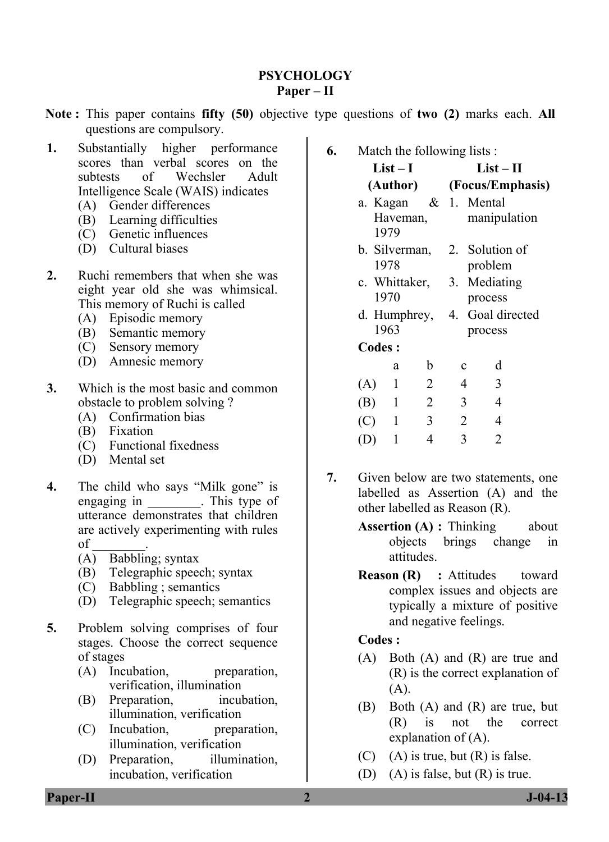## **PSYCHOLOGY Paper – II**

- **Note :** This paper contains **fifty (50)** objective type questions of **two (2)** marks each. **All** questions are compulsory.
- **1.** Substantially higher performance scores than verbal scores on the subtests of Wechsler Adult Intelligence Scale (WAIS) indicates
	- (A) Gender differences
	- (B) Learning difficulties
	- (C) Genetic influences
	- (D) Cultural biases
- **2.** Ruchi remembers that when she was eight year old she was whimsical. This memory of Ruchi is called
	- (A) Episodic memory
	- (B) Semantic memory
	- (C) Sensory memory
	- (D) Amnesic memory
- **3.** Which is the most basic and common obstacle to problem solving ?
	- (A) Confirmation bias
	- (B) Fixation
	- (C) Functional fixedness
	- (D) Mental set
- **4.** The child who says "Milk gone" is engaging in This type of utterance demonstrates that children are actively experimenting with rules of \_\_\_\_\_\_\_\_.
	- (A) Babbling; syntax
	- (B) Telegraphic speech; syntax
	- (C) Babbling ; semantics
	- (D) Telegraphic speech; semantics
- **5.** Problem solving comprises of four stages. Choose the correct sequence of stages
	- (A) Incubation, preparation, verification, illumination
	- (B) Preparation, incubation, illumination, verification
	- (C) Incubation, preparation, illumination, verification
	- (D) Preparation, illumination, incubation, verification

**6.** Match the following lists :

#### $List - I$ **(Author) List – II (Focus/Emphasis)**

- a. Kagan Haveman, 1979  $\&$  1 Mental manipulation
- b. Silverman, 1978 2. Solution of problem
- c. Whittaker, 1970 3. Mediating process
- d. Humphrey, 1963 4. Goal directed process
- **Codes :**

|     | a | b | c | d |
|-----|---|---|---|---|
| (A) |   | 2 | 4 | 3 |
| (B) |   | 2 | 3 | 4 |
| (C) |   | 3 | 2 | 4 |
| (D) |   | 4 | 3 | 2 |

- **7.** Given below are two statements, one labelled as Assertion (A) and the other labelled as Reason (R).
	- **Assertion (A) : Thinking about** objects brings change in attitudes.
	- **Reason (R) : Attitudes toward** complex issues and objects are typically a mixture of positive and negative feelings.

#### **Codes :**

- (A) Both (A) and (R) are true and (R) is the correct explanation of (A).
- (B) Both (A) and (R) are true, but (R) is not the correct explanation of (A).
- $(C)$  (A) is true, but  $(R)$  is false.
- (D) (A) is false, but (R) is true.

**Paper-II 2 J-04-13**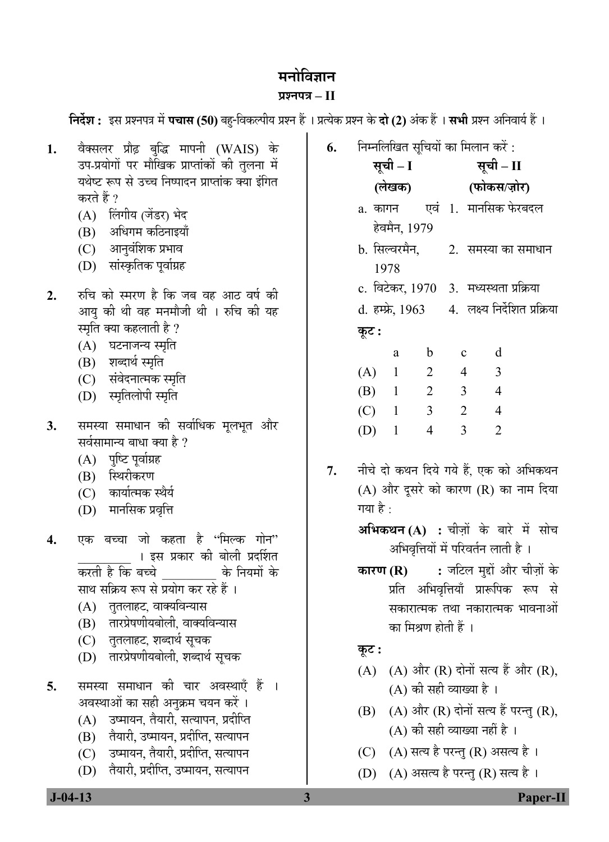## **मनोविज्ञान**

#### **प्रश्नपत्र – II**

| 1. | वैक्सलर प्रौढ़ बुद्धि मापनी (WAIS) के<br>उप-प्रयोगों पर मौखिक प्राप्तांकों की तुलना में | 6. |          | निम्नलिखित सूचियों का मिलान करें :<br>सूची – I सूची – II |                                  |                                                      |                 |
|----|-----------------------------------------------------------------------------------------|----|----------|----------------------------------------------------------|----------------------------------|------------------------------------------------------|-----------------|
|    | यथेष्ट रूप से उच्च निष्पादन प्राप्तांक क्या इंगित                                       |    |          |                                                          |                                  |                                                      |                 |
|    | करते हैं ?                                                                              |    |          |                                                          |                                  | (लेखक) (फोकस/ज़ोर)                                   |                 |
|    | (A) लिंगीय (जेंडर) भेद                                                                  |    |          |                                                          |                                  | a. कागन      एवं   1.   मानसिक फेरबदल                |                 |
|    | (B) अधिगम कठिनाइयाँ                                                                     |    |          | हेवमैन, 1979                                             |                                  |                                                      |                 |
|    | (C) आनुवंशिक प्रभाव                                                                     |    |          |                                                          |                                  | b. सिल्वरमैन,        2.  समस्या का समाधान            |                 |
|    | (D) सांस्कृतिक पूर्वाग्रह                                                               |    | 1978     |                                                          |                                  |                                                      |                 |
| 2. | रुचि को स्मरण है कि जब वह आठ वर्ष की                                                    |    |          |                                                          |                                  | c. विटेकर, 1970 3. मध्यस्थता प्रक्रिया               |                 |
|    | आयु की थी वह मनमौजी थी । रुचि की यह                                                     |    |          |                                                          |                                  | d. हम्फ्रे, 1963      4.  लक्ष्य निर्देशित प्रक्रिया |                 |
|    | स्मृति क्या कहलाती है ?                                                                 |    | कूट :    |                                                          |                                  |                                                      |                 |
|    | (A) घटनाजन्य स्मृति                                                                     |    |          | $\mathbf b$<br>a                                         | $\mathbf{c}$                     | d                                                    |                 |
|    | (B) शब्दार्थ स्मृति                                                                     |    |          | $\mathbf{1}$                                             | $\overline{2}$<br>$\overline{4}$ | $\overline{3}$                                       |                 |
|    | (C) संवेदनात्मक स्मृति                                                                  |    | (A)      |                                                          |                                  |                                                      |                 |
|    | (D) स्मृतिलोपी स्मृति                                                                   |    | (B)      | $\mathbf{1}$                                             | $\overline{2}$<br>3 <sup>7</sup> | $\overline{4}$                                       |                 |
| 3. | समस्या समाधान की सर्वाधिक मूलभूत और                                                     |    | (C)      | $\mathbf{1}$                                             | 3 <sup>1</sup><br>$\overline{2}$ | $\overline{4}$                                       |                 |
|    | सर्वसामान्य बाधा क्या है ?                                                              |    | (D)      | $\overline{4}$<br>$\mathbf{1}$                           | $\overline{3}$                   | $\overline{2}$                                       |                 |
|    | (A) पुष्टि पूर्वाग्रह                                                                   |    |          |                                                          |                                  |                                                      |                 |
|    | (B) स्थिरीकरण                                                                           | 7. |          |                                                          |                                  | नीचे दो कथन दिये गये हैं, एक को अभिकथन               |                 |
|    | (C) कार्यात्मक स्थैर्य                                                                  |    |          |                                                          |                                  | (A) और दूसरे को कारण (R) का नाम दिया                 |                 |
|    | (D) मानसिक प्रवृत्ति                                                                    |    | गया है : |                                                          |                                  |                                                      |                 |
|    | एक बच्चा जो कहता है ''मिल्क गोन''                                                       |    |          |                                                          |                                  | अभिकथन (A) : चीज़ों के बारे में सोच                  |                 |
| 4. | । इस प्रकार की बोली प्रदर्शित                                                           |    |          |                                                          |                                  | अभिवृत्तियों में परिवर्तन लाती है।                   |                 |
|    | करती है कि बच्चे           के नियमों के                                                 |    |          |                                                          |                                  | <b>कारण (R) :</b> जटिल मुद्दों और चीज़ों के          |                 |
|    | साथ सक्रिय रूप से प्रयोग कर रहे हैं ।                                                   |    |          |                                                          |                                  | प्रति अभिवृत्तियाँ प्रारूपिक रूप से                  |                 |
|    | तुतलाहट, वाक्यविन्यास<br>(A)                                                            |    |          |                                                          |                                  | सकारात्मक तथा नकारात्मक भावनाओ                       |                 |
|    | तारप्रेषणीयबोली, वाक्यविन्यास<br>(B)                                                    |    |          | का मिश्रण होती हैं ।                                     |                                  |                                                      |                 |
|    | तुतलाहट, शब्दार्थ सूचक<br>(C)                                                           |    |          |                                                          |                                  |                                                      |                 |
|    | तारप्रेषणीयबोली, शब्दार्थ सूचक<br>(D)                                                   |    | कूट :    |                                                          |                                  |                                                      |                 |
|    |                                                                                         |    | (A)      |                                                          |                                  | (A) और (R) दोनों सत्य हैं और (R),                    |                 |
| 5. | समस्या समाधान की चार अवस्थाएँ हैं ।                                                     |    |          | (A) की सही व्याख्या है ।                                 |                                  |                                                      |                 |
|    | अवस्थाओं का सही अनुक्रम चयन करें ।<br>उष्मायन, तैयारी, सत्यापन, प्रदीप्ति               |    | (B)      |                                                          |                                  | (A) और (R) दोनों सत्य हैं परन्तु (R),                |                 |
|    | (A)<br>तैयारी, उष्मायन, प्रदीप्ति, सत्यापन<br>(B)                                       |    |          | (A) की सही व्याख्या नहीं है ।                            |                                  |                                                      |                 |
|    | उष्मायन, तैयारी, प्रदीप्ति, सत्यापन<br>(C)                                              |    | (C)      |                                                          |                                  | (A) सत्य है परन्तु (R) असत्य है।                     |                 |
|    | तैयारी, प्रदीप्ति, उष्मायन, सत्यापन<br>(D)                                              |    | (D)      |                                                          |                                  | (A) असत्य है परन्तु (R) सत्य है ।                    |                 |
|    |                                                                                         |    |          |                                                          |                                  |                                                      |                 |
|    | $J - 04 - 13$                                                                           | 3  |          |                                                          |                                  |                                                      | <b>Paper-II</b> |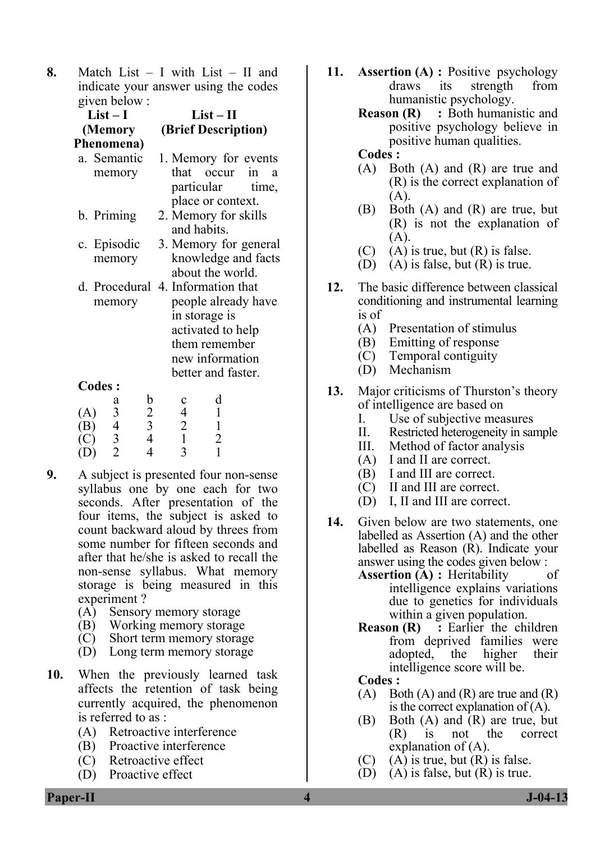**8.** Match List – I with List – II and indicate your answer using the codes given below :

| $H$ value over $\cdot$     |                                                                                                                                                          |  |  |  |  |  |  |
|----------------------------|----------------------------------------------------------------------------------------------------------------------------------------------------------|--|--|--|--|--|--|
| $List-I$                   | $List-II$                                                                                                                                                |  |  |  |  |  |  |
| (Memory                    | (Brief Description)                                                                                                                                      |  |  |  |  |  |  |
| Phenomena)                 |                                                                                                                                                          |  |  |  |  |  |  |
| a. Semantic<br>memory      | 1. Memory for events<br>that occur in<br>a<br>particular time,<br>place or context.                                                                      |  |  |  |  |  |  |
| b. Priming                 | 2. Memory for skills<br>and habits.                                                                                                                      |  |  |  |  |  |  |
| c. Episodic<br>memory      | 3. Memory for general<br>knowledge and facts<br>about the world.                                                                                         |  |  |  |  |  |  |
| memory                     | d. Procedural 4. Information that<br>people already have<br>in storage is<br>activated to help<br>them remember<br>new information<br>better and faster. |  |  |  |  |  |  |
| <b>Codes:</b>              |                                                                                                                                                          |  |  |  |  |  |  |
| $\mathfrak b$<br>а         | d                                                                                                                                                        |  |  |  |  |  |  |
| $\overline{c}$<br>3<br>(A) | 4                                                                                                                                                        |  |  |  |  |  |  |
| $\overline{3}$<br>4<br>(B) |                                                                                                                                                          |  |  |  |  |  |  |

| (B) |               |  |  |
|-----|---------------|--|--|
| (C) | $\mathcal{L}$ |  |  |
| (D) |               |  |  |

- **9.** A subject is presented four non-sense syllabus one by one each for two seconds. After presentation of the four items, the subject is asked to count backward aloud by threes from some number for fifteen seconds and after that he/she is asked to recall the non-sense syllabus. What memory storage is being measured in this experiment ?
	- (A) Sensory memory storage
	- (B) Working memory storage
	- (C) Short term memory storage
	- (D) Long term memory storage
- **10.** When the previously learned task affects the retention of task being currently acquired, the phenomenon is referred to as :
	- (A) Retroactive interference
	- (B) Proactive interference
	- (C) Retroactive effect
	- (D) Proactive effect
- **11. Assertion (A) :** Positive psychology draws its strength from humanistic psychology.
	- **Reason (R)** : Both humanistic and positive psychology believe in positive human qualities.

#### **Codes :**

- (A) Both (A) and (R) are true and (R) is the correct explanation of (A).
- (B) Both (A) and (R) are true, but (R) is not the explanation of (A).
- $(C)$  (A) is true, but  $(R)$  is false.
- (D) (A) is false, but  $(R)$  is true.
- **12.** The basic difference between classical conditioning and instrumental learning is of
	- (A) Presentation of stimulus
	- (B) Emitting of response
	- (C) Temporal contiguity
	- (D) Mechanism
- **13.** Major criticisms of Thurston's theory of intelligence are based on
	- I. Use of subjective measures
	- II. Restricted heterogeneity in sample
	- III. Method of factor analysis
	- (A) I and II are correct.
	- (B) I and III are correct.
	- (C) II and III are correct.
	- (D) I, II and III are correct.
- **14.** Given below are two statements, one labelled as Assertion (A) and the other labelled as Reason (R). Indicate your answer using the codes given below :
	- **Assertion (A) :** Heritability of intelligence explains variations due to genetics for individuals within a given population.
	- **Reason (R)** : Earlier the children from deprived families were adopted, the higher their intelligence score will be.
	- **Codes :**
	- $(A)$  Both  $(A)$  and  $(R)$  are true and  $(R)$ is the correct explanation of (A).
	- (B) Both (A) and (R) are true, but (R) is not the correct explanation of (A).
	- $(C)$  (A) is true, but  $(R)$  is false.
	- (D) (A) is false, but  $(R)$  is true.

**Paper-II 1**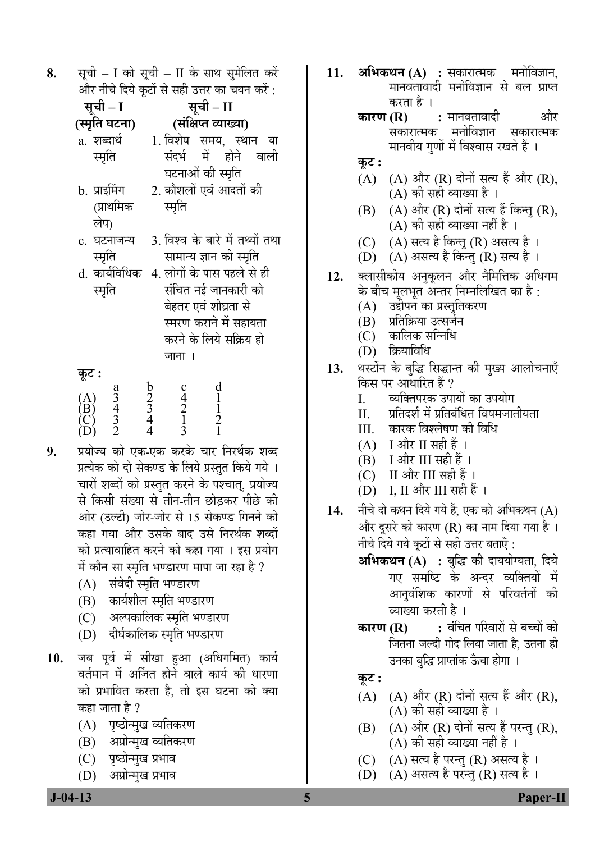**8.** सूची – I को सूची – II के साथ सुमेलित करें और नीचे दिये कटों से सही उत्तर का चयन करें $\, \cdot \,$ 

| सूची – I                                        |                         | सूची – II                                                                                           |
|-------------------------------------------------|-------------------------|-----------------------------------------------------------------------------------------------------|
| (स्मृति घटना)                                   |                         | (संक्षिप्त व्याख्या)                                                                                |
| a. शब्दार्थ                                     |                         | 1. विशेष समय, स्थान या                                                                              |
| स्मृति                                          |                         | संदर्भ में होने वाली                                                                                |
|                                                 |                         | घटनाओं की स्मृति                                                                                    |
| b. प्राइमिंग                                    |                         | 2. कौशलों एवं आदतों की                                                                              |
| (प्राथमिक                                       |                         | स्मृति                                                                                              |
| लेप)                                            |                         |                                                                                                     |
| c. घटनाजन्य                                     |                         | 3. विश्व के बारे में तथ्यों तथा                                                                     |
| स्मृति                                          |                         | सामान्य ज्ञान की स्मृति                                                                             |
| d. कार्यविधिक                                   |                         | 4. लोगों के पास पहले से ही                                                                          |
| स्मृति                                          |                         | संचित नई जानकारी को                                                                                 |
|                                                 |                         | बेहतर एवं शीघ्रता से                                                                                |
|                                                 |                         | स्मरण कराने में सहायता                                                                              |
|                                                 |                         | करने के लिये सक्रिय हो                                                                              |
|                                                 |                         | जाना ।                                                                                              |
| कूट :                                           |                         |                                                                                                     |
| $\frac{3}{3}$<br>$\frac{4}{3}$<br>$\frac{3}{2}$ | $\frac{5}{2}$<br>4<br>4 | $\frac{d}{1}$ $\frac{1}{2}$ $\frac{1}{1}$<br>$c_4$<br>$c_1$<br>$\overline{c}_1$<br>$\overline{c}_2$ |
| (A)<br>(B)<br>(C)                               |                         |                                                                                                     |
|                                                 |                         |                                                                                                     |
|                                                 |                         |                                                                                                     |

- **9.** प्रयोज्य को एक-एक करके चार निरर्थक शब्द प्रत्येक को दो सेकण्ड के लिये प्रस्तुत किये गये । चारों शब्दों को प्रस्तुत करने के पश्चात, प्रयोज्य से किसी संख्या से तीन-तीन छोडकर पीछे की आेर (उल्टी) जोर-जोर से 15 सेकण्ड गिनने को कहा गया और उसके बाद उसे निरर्थक शब्दों को प्रत्यावाहित करने को कहा गया । इस प्रयोग में कौन सा स्मृति भण्डारण मापा जा रहा है ?
	- (A) संवेदी स्मृति भण्डारण
	- (B) कार्यशील स्मृति भण्डारण
	- (C) अल्पकालिक स्मृति भण्डारण
	- (D) दीर्घकालिक स्मृति भण्डारण
- 10. जब पूर्व में सीखा हुआ (अधिगमित) कार्य वर्तमान में अर्जित होने वाले कार्य की धारणा को प्रभावित करता है, तो इस घटना को क्या कहा जाता है ?
	- (A) पृष्ठोन्मुख व्यतिकरण
	- (B) अग्रोन्मुख व्यतिकरण
	- (C) पृष्ठोन्मुख प्रभाव
	- (D) अग्रोन्मुख प्रभाव
- 11. **अभिकथन (A) :** सकारात्मक मनोविज्ञान, <u>मानवतावादी मनोविज्ञान से बल प्राप्त</u> िकारण (R)<br>कारण (R)
	- **:** मानवतावादी और<br>ह मनोविज्ञान सकारात्मक सकारात्मक मनोविज्ञान मानवीय गणों में विश्वास रखते हैं ।
	- <u>क</u>ट :
	- $(A)$   $(A)$  और  $(R)$  दोनों सत्य हैं और  $(R)$ ,  $(A)$  की सही व्याख्या है।
	- $(B)$   $(A)$  और  $(R)$  दोनों सत्य हैं किन्तु  $(R)$ , (A) की सही व्याख्या नहीं है ।
	- (C) (A) सत्य है किन्तु (R) असत्य है।
	- (D) (A) असत्य है किन्तु (R) सत्य है ।
- 12. क्लासीकीय अनुकूलन और नैमित्तिक अधिगम के बीच मूलभूत अन्तर निम्नलिखित का है :
	- (A) उद्दीपन का प्रस्तुतिकरण
	- (B) प्रतिक्रिया उत्सर्जन
	- (C) कालिक सन्निधि<br>(D) क्रियाविधि
	- क्रियाविधि
- 13. थस्टोंन के बुद्धि सिद्धान्त की मुख्य आलोचनाएँ किस पर आधारित हैं ?<br>I व्यक्तिपरक उपा
	- I. व्यक्तिपरक उपायों का उपयोग<br>II प्रतिदर्श में प्रतिबंधित विषमजात
	- प्रतिदर्श में प्रतिबंधित विषमजातीयता
	- III. कारक विश्लेषण की विधि<br>(A) I और II सही हैं ।
	- $(A)$  I और II सही हैं ।<br>(B) I और III सही हैं
	- [ और III सही हैं ।
	- (C) II और III सही हैं ।
	- (D) I, II और III सही हैं ।
- 14. नीचे दो कथन दिये गये हैं. एक को अभिकथन (A) और दूसरे को कारण (R) का नाम दिया गया है। नीचे दिये गये कुटों से सही उत्तर बताएँ :
	- **अभिकथन (A) :** बुद्धि की दाययोग्यता, दिये गए समष्टि के अन्दर व्यक्तियों में आनवंशिक कारणों से परिवर्तनों की व्याख्या करती है ।
	- **कारण (R) :** वंचित परिवारों से बच्चों को जितना जल्दी गोद लिया जाता है, उतना ही उनका बुद्धि प्राप्तांक ऊँचा होगा ।
	- <u>क</u>ूट :
	- $(A)$   $(A)$  और  $(R)$  दोनों सत्य हैं और  $(R)$ , (A) की सही व्याख्या है ।
	- $(B)$   $(A)$  और  $(R)$  दोनों सत्य हैं परन्तु  $(R)$ ,  $(A)$  की सही व्याख्या नहीं है ।
	- $(C)$   $(A)$  सत्य है परन्तु  $(R)$  असत्य है ।
	- (D)  $(A)$  असत्य है परन्तु (R) सत्य है ।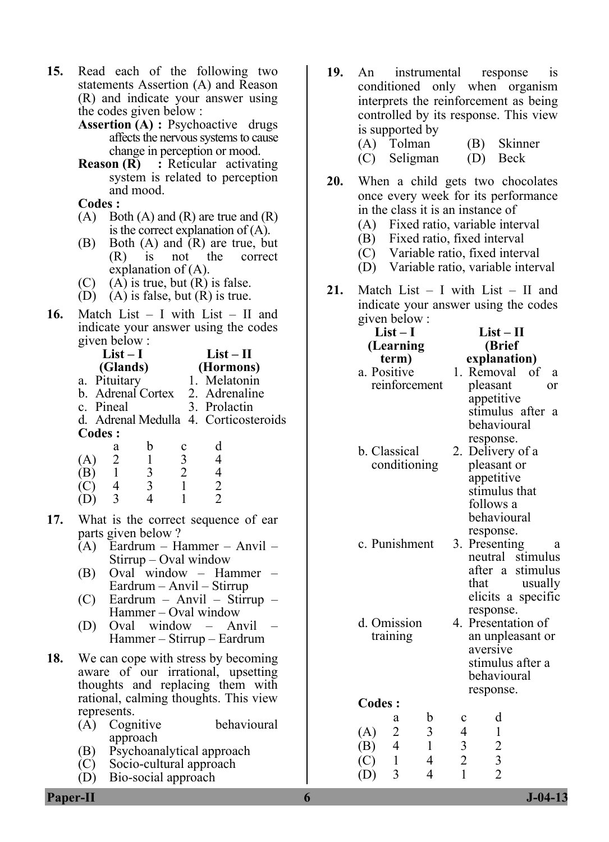- **15.** Read each of the following two statements Assertion (A) and Reason (R) and indicate your answer using the codes given below :
	- **Assertion (A) :** Psychoactive drugs affects the nervous systems to cause change in perception or mood.
	- **Reason (R)** : Reticular activating system is related to perception and mood.

 **Codes :** 

- $(A)$  Both  $(A)$  and  $(R)$  are true and  $(R)$ is the correct explanation of (A).
- (B) Both (A) and (R) are true, but (R) is not the correct explanation of (A).
- $(C)$  (A) is true, but  $(R)$  is false.
- (D) (A) is false, but (R) is true.
- **16.** Match List I with List II and indicate your answer using the codes given below :

|                         | $List-I$                |                                            |               | $List-II$                                  |  |  |  |  |
|-------------------------|-------------------------|--------------------------------------------|---------------|--------------------------------------------|--|--|--|--|
|                         | (Glands)                |                                            |               | (Hormons)                                  |  |  |  |  |
|                         | a. Pituitary            |                                            |               | 1. Melatonin                               |  |  |  |  |
|                         |                         |                                            |               | b. Adrenal Cortex 2. Adrenaline            |  |  |  |  |
|                         |                         | c. Pineal                                  |               | 3. Prolactin                               |  |  |  |  |
|                         |                         |                                            |               | d. Adrenal Medulla 4. Corticosteroids      |  |  |  |  |
| <b>Codes:</b>           |                         |                                            |               |                                            |  |  |  |  |
|                         | a                       | $\mathbf b$                                |               | d                                          |  |  |  |  |
|                         |                         | $\begin{array}{c} 1 \\ 3 \\ 3 \end{array}$ | $\frac{3}{2}$ | $\overline{4}$                             |  |  |  |  |
|                         |                         |                                            |               |                                            |  |  |  |  |
| (A) 2<br>(B) 1<br>(C) 4 |                         |                                            | $\mathbf{1}$  |                                            |  |  |  |  |
| (D)                     | $\overline{\mathbf{3}}$ | $\overline{4}$                             | 1             | $\begin{array}{c} 4 \\ 2 \\ 2 \end{array}$ |  |  |  |  |
| 17.                     |                         |                                            |               | What is the correct sequence of ear        |  |  |  |  |
|                         |                         | parts given below?                         |               |                                            |  |  |  |  |
|                         |                         |                                            |               | (A) Eardrum – Hammer – Anvil –             |  |  |  |  |
|                         |                         |                                            |               | $Stirrup - Oval window$                    |  |  |  |  |
| (B)                     |                         |                                            |               | Oval window - Hammer                       |  |  |  |  |
|                         |                         |                                            |               | Eardrum - Anvil - Stirrup                  |  |  |  |  |
|                         |                         |                                            |               | (C) Eardrum – Anvil – Stirrup –            |  |  |  |  |
|                         |                         |                                            |               | Hammer – Oval window                       |  |  |  |  |
| (D)                     |                         |                                            |               | Oval window – Anvil                        |  |  |  |  |

- Hammer Stirrup Eardrum
- **18.** We can cope with stress by becoming aware of our irrational, upsetting thoughts and replacing them with rational, calming thoughts. This view represents.
	- (A) Cognitive behavioural approach
	- (B) Psychoanalytical approach
	- (C) Socio-cultural approach
	- (D) Bio-social approach
- **19.** An instrumental response is conditioned only when organism interprets the reinforcement as being controlled by its response. This view is supported by (A) Tolman (B) Skinner
	-
	- (C) Seligman (D) Beck
- **20.** When a child gets two chocolates once every week for its performance in the class it is an instance of
	- (A) Fixed ratio, variable interval
	- (B) Fixed ratio, fixed interval
	- (C) Variable ratio, fixed interval
	- (D) Variable ratio, variable interval
- **21.** Match List I with List II and indicate your answer using the codes given below : **List – II**

**List – I** 

| $LIST - 1$                                                        | $LIST - II$                                                     |  |  |  |  |
|-------------------------------------------------------------------|-----------------------------------------------------------------|--|--|--|--|
| (Learning                                                         | (Brief                                                          |  |  |  |  |
| term)                                                             | explanation)                                                    |  |  |  |  |
| a. Positive                                                       | 1. Removal of<br>a                                              |  |  |  |  |
| reinforcement                                                     | pleasant<br>or                                                  |  |  |  |  |
|                                                                   | appetitive                                                      |  |  |  |  |
|                                                                   | stimulus after<br>a                                             |  |  |  |  |
|                                                                   | behavioural                                                     |  |  |  |  |
|                                                                   |                                                                 |  |  |  |  |
| b. Classical                                                      | response.                                                       |  |  |  |  |
|                                                                   | 2. Delivery of a                                                |  |  |  |  |
| conditioning                                                      | pleasant or                                                     |  |  |  |  |
|                                                                   | appetitive<br>stimulus that                                     |  |  |  |  |
|                                                                   |                                                                 |  |  |  |  |
|                                                                   | follows a                                                       |  |  |  |  |
|                                                                   | behavioural                                                     |  |  |  |  |
|                                                                   | response.                                                       |  |  |  |  |
| c. Punishment                                                     | 3. Presenting<br>a                                              |  |  |  |  |
|                                                                   | neutral<br>stimulus                                             |  |  |  |  |
|                                                                   | after a<br>stimulus                                             |  |  |  |  |
|                                                                   | that<br>usually                                                 |  |  |  |  |
|                                                                   | elicits a specific                                              |  |  |  |  |
|                                                                   | response.                                                       |  |  |  |  |
| d. Omission                                                       | 4. Presentation of                                              |  |  |  |  |
| training                                                          | an unpleasant or                                                |  |  |  |  |
|                                                                   | aversive                                                        |  |  |  |  |
|                                                                   | stimulus after a                                                |  |  |  |  |
|                                                                   |                                                                 |  |  |  |  |
|                                                                   | behavioural                                                     |  |  |  |  |
|                                                                   | response.                                                       |  |  |  |  |
| <b>Codes:</b>                                                     |                                                                 |  |  |  |  |
| b<br>а                                                            | d<br>c                                                          |  |  |  |  |
| $\overline{\mathbf{3}}$<br>(A)                                    | $\begin{array}{c} 4 \\ 3 \\ 2 \end{array}$                      |  |  |  |  |
| $\begin{array}{c} 2 \\ 4 \\ 1 \end{array}$<br>$\mathbf{1}$<br>(B) |                                                                 |  |  |  |  |
| $\overline{C}$<br>$\overline{4}$                                  |                                                                 |  |  |  |  |
| 3<br>$\overline{4}$                                               | $\begin{array}{c} 1 \\ 2 \\ 3 \\ 2 \end{array}$<br>$\mathbf{1}$ |  |  |  |  |
| (D)                                                               |                                                                 |  |  |  |  |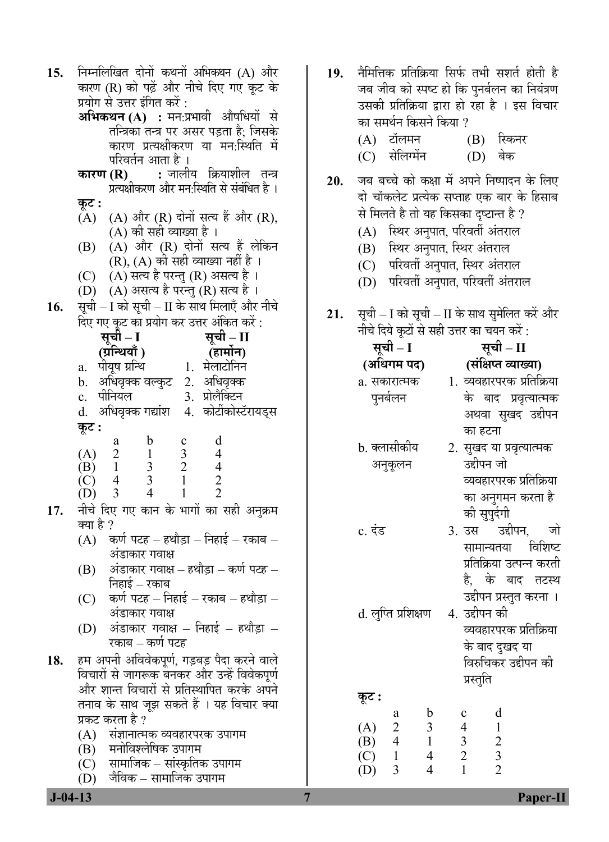| 15. | निम्नलिखित दोनों कथनों अभिकथन (A) और                                                             |
|-----|--------------------------------------------------------------------------------------------------|
|     | कारण (R) को पढ़ें और नीचे दिए गए कूट के                                                          |
|     | प्रयोग से उत्तर इंगित करें :                                                                     |
|     | <b>अभिकथन (A) :</b> मन:प्रभावी औषधियों से                                                        |
|     | तन्त्रिका तन्त्र पर असर पड़ता है; जिसके                                                          |
|     | कारण प्रत्यक्षीकरण या मन:स्थिति में                                                              |
|     | परिवर्तन आता है ।                                                                                |
|     | <b>कारण (R)       :</b> जालीय   क्रियाशील   तन्त्र<br>प्रत्यक्षीकरण और मन:स्थिति से संबंधित है । |
|     |                                                                                                  |
|     | कूट :                                                                                            |
|     | $(A)$ $(A)$ और $(R)$ दोनों सत्य हैं और $(R)$ ,<br>(A) की सही व्याख्या है ।                       |
|     | $(A)$ और $(R)$ दोनों सत्य हैं लेकिन<br>(B)                                                       |
|     | $(R)$ , $(A)$ को सही व्याख्या नहीं है ।                                                          |
|     | (C) $(A)$ सत्य है परन्तु (R) असत्य है।                                                           |
|     | $(D)$ $(A)$ असत्य है परन्तु $(R)$ सत्य है।                                                       |
| 16. | सूची – I को सूची – II के साथ मिलाएँ और नीचे                                                      |
|     | दिए गए कूट का प्रयोग कर उत्तर अंकित करें :                                                       |
|     | सूची – II<br>सूची – I                                                                            |
|     | (ग्रॅन्थियाँ )<br>्(हार्मोन)                                                                     |
|     | a.   पीयूष ग्रन्थि<br>1. मेलाटोनिन                                                               |
|     | b. अधिवृक्क वल्कुट  2. अधिवृक्क                                                                  |
|     | c. पीनियल<br>3. प्रोलैक्टिन                                                                      |
|     | d. अधिवृक्क गद्यांश   4.  कोर्टीकोस्टॅरायड्स                                                     |
|     | कूट :                                                                                            |
|     | d<br>$\mathbf b$<br>$\begin{array}{c} c \\ 3 \\ 2 \\ 1 \end{array}$<br>a<br>4                    |
|     | (A) 2<br>(B) 1<br>$\begin{array}{c} 1 \\ 3 \\ 3 \end{array}$                                     |
|     | $\frac{4}{2}$<br>$(C)$ 4                                                                         |
|     | $\overline{4}$<br>$\mathbf{1}$<br>$(D)$ 3                                                        |
| 17. | नीचे दिए गए कान के भागों का सही अनुक्रम                                                          |
|     | क्या है ?                                                                                        |
|     | कर्ण पटह – हथौड़ा – निहाई – रकाब –<br>(A)                                                        |
|     | अंडाकार गवाक्ष                                                                                   |
|     | अंडाकार गवाक्ष – हथौड़ा – कर्ण पटह –<br>(B)                                                      |
|     | निहाई – रकाब<br>कर्ण पटह – निहाई – रकाब – हथौड़ा –                                               |
|     | (C)<br>अंडाकार गवाक्ष                                                                            |
|     | अंडाकार गवाक्ष – निहाई – हथौड़ा <i>–</i><br>(D)                                                  |
|     | रकाब – कर्ण पटह                                                                                  |
| 18. | हम अपनी अविवेकपूर्ण, गड़बड़ पैदा करने वाले                                                       |
|     | विचारों से जागरूक बनकर और उन्हें विवेकपूर्ण                                                      |
|     | और शान्त विचारों से प्रतिस्थापित करके अपने                                                       |
|     | तनाव के साथ जूझ सकते हैं । यह विचार क्या                                                         |
|     | प्रकट करता है ?                                                                                  |
|     | (A) संज्ञानात्मक व्यवहारपरक उपागम                                                                |
|     | (B) मनोविश्लेषिक उपागम                                                                           |
|     |                                                                                                  |

- सामाजिक सांस्कृतिक उपागम  $(C)$
- जैविक सामाजिक उपागम (D)

 $J - 04 - 13$ 

- नैमित्तिक प्रतिक्रिया सिर्फ तभी सशर्त होती है  $19.$ जब जीव को स्पष्ट हो कि पुनर्बलन का नियंत्रण उसकी प्रतिक्रिया द्वारा हो रहा है । इस विचार का समर्थन किसने किया ? (B) स्किनर (A) टॉलमन (C) सेलिग्मेंन  $(D)$  बेक जब बच्चे को कक्षा में अपने निष्पादन के लिए 20. दो चॉकलेट प्रत्येक सप्ताह एक बार के हिसाब से मिलते है तो यह किसका दृष्टान्त है ? (A) स्थिर अनुपात, परिवर्ती अंतराल (B) स्थिर अनुपात, स्थिर अंतराल (C) परिवर्ती अनुपात, स्थिर अंतराल (D) परिवर्ती अनुपात, परिवर्ती अंतराल
- सूची I को सूची II के साथ सुमेलित करें और 21. नीचे दिये कूटों से सही उत्तर का चयन करें :

| सूची – I            | सूची – II                 |  |
|---------------------|---------------------------|--|
| (अधिगम पद)          | (संक्षिप्त व्याख्या)      |  |
| a. सकारात्मक        | 1. व्यवहारपरक प्रतिक्रिया |  |
| पुनर्बलन            | के बाद प्रवृत्यात्मक      |  |
|                     | अथवा सुखद उद्दीपन         |  |
|                     | का हटना                   |  |
| b. क्लासीकीय        | 2. सुखद या प्रवृत्यात्मक  |  |
| अनुकूलन             | उद्दीपन जो                |  |
|                     | व्यवहारपरक प्रतिक्रिया    |  |
|                     | का अनुगमन करता है         |  |
|                     | की सुपुर्दगी              |  |
| c. दंड              | 3. उस उद्दीपन, जो         |  |
|                     | सामान्यतया विशिष्ट        |  |
|                     | प्रतिक्रिया उत्पन्न करती  |  |
|                     | है. के बाद तटस्थ          |  |
|                     | उद्दीपन प्रस्तुत करना ।   |  |
| d. लुप्ति प्रशिक्षण | 4. उद्दीपन की             |  |
|                     | व्यवहारपरक प्रतिक्रिया    |  |
|                     | के बाद दुखद या            |  |
|                     | विरुचिकर उद्दीपन की       |  |

प्रस्तुति कूट :  $\mathbf b$  $\mathbf c$ d a  $(A)$  $\overline{2}$  $\overline{3}$  $\overline{4}$  $\mathbf{1}$  $\overline{3}$  $\overline{2}$  $\overline{4}$  $\mathbf{1}$ (B)  $\overline{2}$  $(C)$  $\mathbf{1}$  $\overline{4}$  $\mathfrak{Z}$  $\overline{2}$  $\mathbf{1}$ 3  $\overline{4}$ (D)

7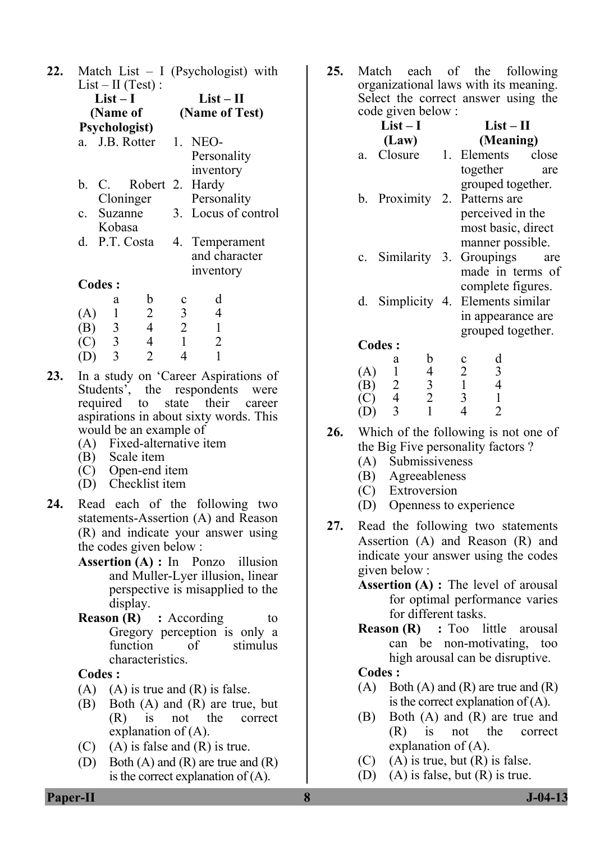| 22. |               |                |                        | Match List $-$ I (Psychologist) with |                                |  |  |  |
|-----|---------------|----------------|------------------------|--------------------------------------|--------------------------------|--|--|--|
|     |               |                | $List-II (Test)$ :     |                                      |                                |  |  |  |
|     |               | $List-I$       |                        | $List-II$                            |                                |  |  |  |
|     |               |                | (Name of               | (Name of Test)                       |                                |  |  |  |
|     | Psychologist) |                |                        |                                      |                                |  |  |  |
|     |               |                | a. J.B. Rotter 1. NEO- |                                      |                                |  |  |  |
|     |               |                |                        |                                      | Personality                    |  |  |  |
|     |               |                |                        |                                      | inventory                      |  |  |  |
|     |               |                | b. C. Robert 2. Hardy  |                                      |                                |  |  |  |
|     |               |                | Cloninger              |                                      | Personality                    |  |  |  |
|     |               |                |                        |                                      | c. Suzanne 3. Locus of control |  |  |  |
|     |               | Kobasa         |                        |                                      |                                |  |  |  |
|     |               |                | d. P.T. Costa          |                                      | 4. Temperament                 |  |  |  |
|     |               |                |                        |                                      | and character                  |  |  |  |
|     |               |                |                        |                                      | inventory                      |  |  |  |
|     |               | <b>Codes:</b>  |                        |                                      |                                |  |  |  |
|     |               | a              | b                      |                                      | d                              |  |  |  |
|     | (A)           | $\mathbf{1}$   | $\overline{2}$         | $\overline{3}$                       | 4                              |  |  |  |
|     | (B)           | $\overline{3}$ | $\overline{4}$         | $\overline{2}$                       | $\mathbf{1}$                   |  |  |  |
|     | (C)           |                | 4                      | $\mathbf{1}$                         | $\overline{2}$                 |  |  |  |
|     | (D)           | $\frac{3}{3}$  | 2                      | 4                                    | $\overline{1}$                 |  |  |  |

- **23.** In a study on 'Career Aspirations of Students', the respondents were required to state their career aspirations in about sixty words. This would be an example of
	- (A) Fixed-alternative item
	- (B) Scale item
	- (C) Open-end item
	- (D) Checklist item
- **24.** Read each of the following two statements-Assertion (A) and Reason (R) and indicate your answer using the codes given below :
	- **Assertion (A) :** In Ponzo illusion and Muller-Lyer illusion, linear perspective is misapplied to the display.
	- **Reason (R)** : According to Gregory perception is only a function of stimulus characteristics.

#### **Codes :**

- $(A)$   $(A)$  is true and  $(R)$  is false.
- (B) Both (A) and (R) are true, but<br>(R) is not the correct  $(R)$  is not the explanation of (A).
- (C) (A) is false and  $(R)$  is true.
- (D) Both (A) and (R) are true and (R) is the correct explanation of (A).

**25.** Match each of the following organizational laws with its meaning. Select the correct answer using the code given below :

| $List-I$ |                                            |                                            |  |                               | $List-II$               |                  |
|----------|--------------------------------------------|--------------------------------------------|--|-------------------------------|-------------------------|------------------|
| (Law)    |                                            |                                            |  | (Meaning)                     |                         |                  |
| a.       | Closure 1. Elements close                  |                                            |  |                               |                         |                  |
|          |                                            |                                            |  | together<br>grouped together. |                         | are              |
|          | b. Proximity 2. Patterns are               |                                            |  |                               |                         |                  |
|          |                                            |                                            |  | perceived in the              |                         |                  |
|          |                                            |                                            |  | most basic, direct            |                         |                  |
|          |                                            |                                            |  | manner possible.              |                         |                  |
| $c_{-}$  | Similarity 3.                              |                                            |  | Groupings                     |                         | are              |
|          |                                            |                                            |  | complete figures.             |                         | made in terms of |
|          | d. Simplicity 4. Elements similar          |                                            |  |                               |                         |                  |
|          |                                            |                                            |  | in appearance are             |                         |                  |
|          |                                            |                                            |  | grouped together.             |                         |                  |
|          | <b>Codes:</b>                              |                                            |  |                               |                         |                  |
|          | a                                          | b                                          |  |                               | d                       |                  |
| (A)      | $\mathbf{1}$                               | $\begin{array}{c} 4 \\ 3 \\ 2 \end{array}$ |  | $\frac{2}{1}$                 | $\overline{\mathbf{3}}$ |                  |
| (B)      |                                            |                                            |  |                               | $\overline{4}$          |                  |
| (C)      | $\begin{array}{c} 2 \\ 4 \\ 3 \end{array}$ |                                            |  |                               |                         |                  |
| (D)      |                                            | $\mathbf{1}$                               |  | $\overline{4}$                | $\overline{2}$          |                  |

- **26.** Which of the following is not one of the Big Five personality factors ?
	- (A) Submissiveness
	- (B) Agreeableness
	- (C) Extroversion
	- (D) Openness to experience
- **27.** Read the following two statements Assertion (A) and Reason (R) and indicate your answer using the codes given below :
	- **Assertion (A) :** The level of arousal for optimal performance varies for different tasks.
	- **Reason (R)** : Too little arousal can be non-motivating, too high arousal can be disruptive.

#### **Codes :**

- $(A)$  Both  $(A)$  and  $(R)$  are true and  $(R)$ is the correct explanation of (A).
- (B) Both (A) and (R) are true and (R) is not the correct explanation of (A).
- $(C)$  (A) is true, but  $(R)$  is false.
- (D) (A) is false, but (R) is true.

**Paper-II 8 J-04-13**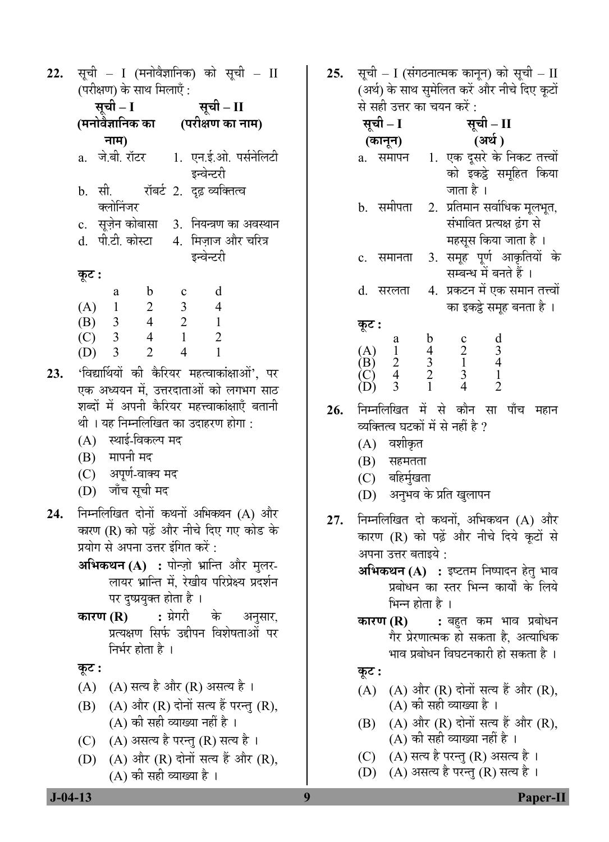सूची – I (मनोवैज्ञानिक) को सूची – II 22. (परीक्षण) के साथ मिलाएँ  $\cdot$ 

| सूची – I         |                |                | सूची – II        |                                             |  |
|------------------|----------------|----------------|------------------|---------------------------------------------|--|
| (मनोवैज्ञानिक का |                |                | (परीक्षण का नाम) |                                             |  |
|                  | नाम)           |                |                  |                                             |  |
|                  | a. जे.बी. रॉटर |                |                  | 1. एन.ई.ओ. पर्सनेलिटी                       |  |
|                  |                |                |                  | इन्वेन्टरी                                  |  |
|                  | b. सी.         |                |                  | रॉबर्ट 2. दृढ़ व्यक्तित्व                   |  |
|                  | क्लोनिजर       |                |                  |                                             |  |
|                  |                |                |                  | c. सूज़ेन कोबासा 3. नियन्त्रण का अवस्थान    |  |
|                  |                |                |                  | d.  पी.टी. कोस्टा      4.  मिज़ाज और चरित्र |  |
|                  |                |                |                  | इन्वेन्टरी                                  |  |
| कूट :            |                |                |                  |                                             |  |
|                  | a              | $\mathbf b$    | $\mathbf c$      | d                                           |  |
| (A)              | $\overline{1}$ | 2              | $\overline{3}$   | $\overline{4}$                              |  |
|                  | $(B)$ 3        | $\overline{4}$ | $\overline{2}$   | $\overline{1}$                              |  |
|                  | $(C)$ 3        | $\overline{4}$ | $\mathbf{1}$     | $\overline{2}$                              |  |
| (D)              | 3              | $\overline{2}$ | 4                | 1                                           |  |

- 'विद्यार्थियों की कैरियर महत्वाकांक्षाओं', पर 23. एक अध्ययन में. उत्तरदाताओं को लगभग साठ शब्दों में अपनी कैरियर महत्त्वाकांक्षाएँ बतानी थी । यह निम्नलिखित का उदाहरण होगा :
	- (A) स्थाई-विकल्प मद
	- (B) मापनी मद
	- (C) अपूर्ण-वाक्य मद
	- (D) जाँच सूची मद
- निम्नलिखित दोनों कथनों अभिकथन (A) और 24. कारण (R) को पढ़ें और नीचे दिए गए कोड के प्रयोग से अपना उत्तर इंगित करें <sup>.</sup>
	- अभिकथन (A) : पोन्ज़ो भ्रान्ति और मुलर-लायर भ्रान्ति में. रेखीय परिप्रेक्ष्य प्रदर्शन पर दुष्प्रयुक्त होता है।
	- : ग्रेगरी कारण  $(R)$ के अनुसार, प्रत्यक्षण सिर्फ उद्दीपन विशेषताओं पर निर्भर होता है ।

## कूट :

- (A) (A) सत्य है और (R) असत्य है।
- (B) (A) और (R) दोनों सत्य हैं परन्तु (R), (A) की सही व्याख्या नहीं है ।
- (C) (A) असत्य है परन्तु (R) सत्य है।
- (D) (A) और (R) दोनों सत्य हैं और (R),  $(A)$  की सही व्याख्या है ।

सूची – I (संगठनात्मक कानून) को सूची – II 25. (अर्थ) के साथ सुमेलित करें और नीचे दिए कूटों से सही उत्तर का चयन करें :

| सृष। − 1 |        |    | सुष। − ∏                        |
|----------|--------|----|---------------------------------|
| (कानून)  |        |    | (अर्थ)                          |
| a.       | समापन  |    | 1. एक दूसरे के निकट तत्त्वों    |
|          |        |    | को इकट्ठे समूहित किया           |
|          |        |    | जाता है ।                       |
|          | समीपता | 2. | प्रतिमान सर्वाधिक मूलभूत,       |
|          |        |    | संभावित प्रत्यक्ष ढंग से        |
|          |        |    | महसूस किया जाता है ।            |
|          | समानता |    | 3. समूह पूर्ण आकृतियों के       |
|          |        |    | सम्बन्ध में बनते हैं ।          |
|          | सरलता  |    | 4.  प्रकटन में एक समान तत्त्वों |
|          |        |    | का इकट्ठे समूह बनता है ।        |
| कट :     |        |    |                                 |

| $\kappa$ .                       |                |                         |                |                |
|----------------------------------|----------------|-------------------------|----------------|----------------|
|                                  | a              | h                       | c              | d              |
|                                  |                | 4                       | $\overline{2}$ | $\overline{3}$ |
|                                  | $\overline{2}$ | $\overline{\mathbf{3}}$ |                | 4              |
|                                  | 4              | $\overline{2}$          | 3              |                |
| $(A)$<br>$(B)$<br>$(C)$<br>$(D)$ |                |                         | 4              | $\overline{2}$ |
|                                  |                |                         |                |                |

- निम्नलिखित में से कौन सा पाँच महान  $26.$ व्यक्तित्व घटकों में से नहीं है ?
	- $(A)$  वशीकृत
	- $(B)$  सहमतता
	- $(C)$  बहिर्मुखता
	- (D) अनुभव के प्रति खुलापन
- निम्नलिखित दो कथनों, अभिकथन (A) और  $27.$ कारण (R) को पढ़ें और नीचे दिये कुटों से अपना उत्तर बताइये :
	- अभिकथन (A) : इष्टतम निष्पादन हेतु भाव प्रबोधन का स्तर भिन्न कार्यों के लिये भिन्न होता है ।

: बहुत कम भाव प्रबोधन कारण  $(R)$ गैर प्रेरणात्मक हो सकता है, अत्याधिक भाव प्रबोधन विघटनकारी हो सकता है ।

## कूट :

- (A) (A) और (R) दोनों सत्य हैं और (R). (A) की सही व्याख्या है ।
- (A) और (R) दोनों सत्य हैं और (R), (B) (A) की सही व्याख्या नहीं है ।
- (C) (A) सत्य है परन्तु (R) असत्य है ।
- (D) (A) असत्य है परन्तु (R) सत्य है ।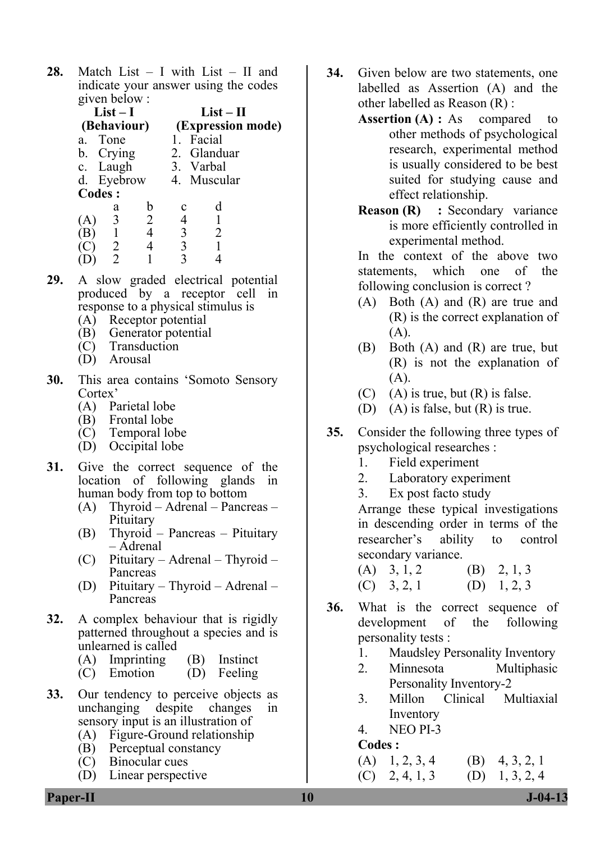**28.** Match List – I with List – II and indicate your answer using the codes given below :

| $List-I$<br>(Behaviour) |           | $List-II$<br>(Expression mode) |             |  |
|-------------------------|-----------|--------------------------------|-------------|--|
| a. Tone                 |           | 1. Facial                      |             |  |
| b. Crying               |           |                                | 2. Glanduar |  |
| c. Laugh                |           | 3. Varbal                      |             |  |
| d. Eyebrow              |           | 4. Muscular                    |             |  |
| Codes :                 |           |                                |             |  |
| а                       | b         | с                              |             |  |
| 3                       | 2         |                                |             |  |
|                         | $\Lambda$ |                                |             |  |

- (B) 1 4 3 2 (C)  $\begin{array}{cccccc} 2 & 4 & 3 & 1 \\ (D) & 2 & 1 & 3 & 4 \end{array}$  $(D)$
- **29.** A slow graded electrical potential produced by a receptor cell in response to a physical stimulus is
	- (A) Receptor potential
	- (B) Generator potential
	- (C) Transduction
	- (D) Arousal
- **30.** This area contains 'Somoto Sensory Cortex'
	- (A) Parietal lobe
	- (B) Frontal lobe
	- (C) Temporal lobe
	- (D) Occipital lobe
- **31.** Give the correct sequence of the location of following glands in human body from top to bottom
	- (A) Thyroid Adrenal Pancreas Pituitary
	- (B) Thyroid Pancreas Pituitary – Adrenal
	- (C) Pituitary Adrenal Thyroid Pancreas
	- (D) Pituitary Thyroid Adrenal Pancreas
- **32.** A complex behaviour that is rigidly patterned throughout a species and is unlearned is called
	- (A) Imprinting (B) Instinct<br>(C) Emotion (D) Feeling
	- $(D)$  Feeling
- **33.** Our tendency to perceive objects as unchanging despite changes in sensory input is an illustration of
	- (A) Figure-Ground relationship
	- (B) Perceptual constancy
	- (C) Binocular cues
	- (D) Linear perspective
- **34.** Given below are two statements, one labelled as Assertion (A) and the other labelled as Reason (R) :
	- Assertion (A) : As compared to other methods of psychological research, experimental method is usually considered to be best suited for studying cause and effect relationship.
	- **Reason (R)** : Secondary variance is more efficiently controlled in experimental method.

In the context of the above two statements, which one of the following conclusion is correct ?

- (A) Both (A) and (R) are true and (R) is the correct explanation of (A).
- (B) Both (A) and (R) are true, but (R) is not the explanation of  $(A)$ .
- $(C)$  (A) is true, but  $(R)$  is false.
- (D) (A) is false, but (R) is true.
- **35.** Consider the following three types of psychological researches :
	- 1. Field experiment
	- 2. Laboratory experiment
	- 3. Ex post facto study

 Arrange these typical investigations in descending order in terms of the researcher's ability to control secondary variance.

- (A)  $3, 1, 2$  (B)  $2, 1, 3$ (C)  $3, 2, 1$  (D)  $1, 2, 3$
- **36.** What is the correct sequence of development of the following personality tests :
	- 1. Maudsley Personality Inventory
	- 2. Minnesota Multiphasic Personality Inventory-2
	- 3. Millon Clinical Multiaxial Inventory
	- 4. NEO PI-3

#### **Codes :**

- (A)  $1, 2, 3, 4$  (B)  $4, 3, 2, 1$
- $(C)$  2, 4, 1, 3 (D) 1, 3, 2, 4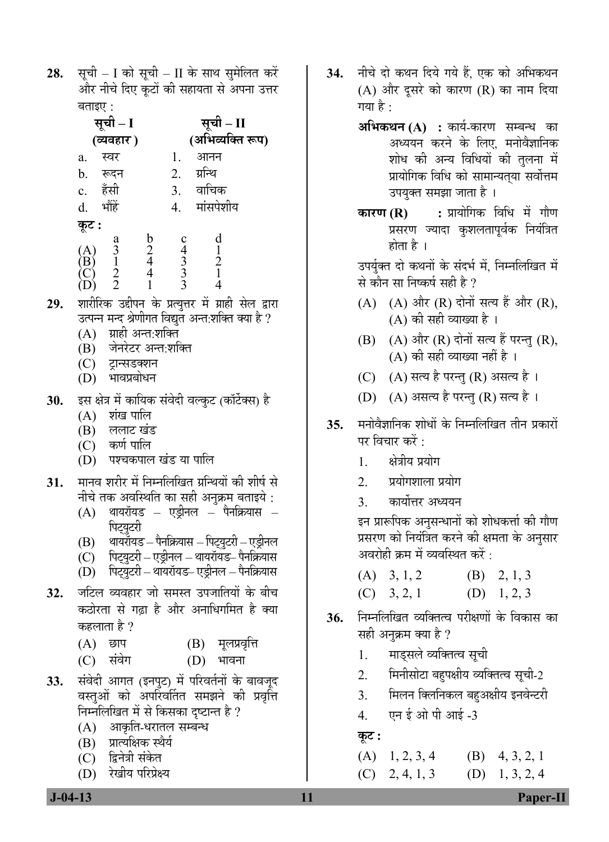सूची - I को सूची - II के साथ सुमेलित करें 28. और नीचे दिए कूटों की सहायता से अपना उत्तर बताइए $\cdot$ 

| सूची – I                                    |                                                      |                  | सूची – II                      |                         |  |
|---------------------------------------------|------------------------------------------------------|------------------|--------------------------------|-------------------------|--|
|                                             | (व्यवहार)                                            |                  |                                | (अभिव्यक्ति रूप)        |  |
| a.                                          | स्वर                                                 |                  | 1.                             | आनन                     |  |
| $\mathbf b$ .                               | रूदन                                                 |                  | 2.                             | ग्रन्थि                 |  |
| c. हँसी                                     |                                                      |                  | 3.                             | वाचिक                   |  |
| d.                                          | भौंहें                                               |                  | 4.                             | मांसपेशीय               |  |
| कूट :                                       |                                                      |                  |                                |                         |  |
| $\mathop{\mathrm{B}}\nolimits_{\mathrm{C}}$ | $\begin{array}{c} a \\ 3 \\ 1 \\ 2 \\ 2 \end{array}$ | b<br>2<br>4<br>4 | c 4 3 3 3 3 3 3 $\overline{3}$ | d<br>1<br>$\frac{2}{1}$ |  |

- शारीरिक उद्दीपन के प्रत्युत्तर में ग्राही सेल द्वारा 29. उत्पन्न मन्द श्रेणीगत विद्युत अन्त:शक्ति क्या है ?
	- (A) ग्राही अन्त:शक्ति
	- (B) जेनरेटर अन्त:शक्ति
	- (C) ट्रान्सडक्शन
	- $(D)$  भावप्रबोधन
- इस क्षेत्र में कायिक संवेदी वल्कुट (कॉर्टेक्स) है 30.
	- $(A)$  शंख पालि
	- $(B)$  ललाट खंड
	- $(C)$  कर्ण पालि
	- (D) पश्चकपाल खंड या पालि
- मानव शरीर में निम्नलिखित ग्रन्थियों की शीर्ष से 31. नीचे तक अवस्थिति का सही अनुक्रम बताइये :
	- $(A)$  थायरॉयड एड्रीनल पैनक्रियास पिट्युटरी
	- (B) थायरॉयड पैनक्रियास पिट्युटरी एड्रीनल
	- (C) पिट्युटरी एड्रीनल थायरॉयड- पैनक्रियास
	- (D) पिट्युटरी थायरॉयड– एड़ीनल पैनक्रियास
- जटिल व्यवहार जो समस्त उपजातियों के बीच 32. कठोरता से गढ़ा है और अनाधिगमित है क्या कहलाता है ?
	- $(A)$  छाप (B) मूलप्रवृत्ति
	- $(C)$  संवेग  $(D)$  भावना
- संवेदी आगत (इनपुट) में परिवर्तनों के बावजूद 33. वस्तुओं को अपरिवर्तित समझने की प्रवृत्ति निम्नलिखित में से किसका दृष्टान्त है ?
	- (A) आकृति-धरातल सम्बन्ध
	- (B) प्रात्यक्षिक स्थैर्य
	- (C) द्विनेत्री संकेत
	- (D) रेखीय परिप्रेक्ष्य
- नीचे दो कथन दिये गये हैं, एक को अभिकथन **34.** (A) और दूसरे को कारण (R) का नाम दिया गया है :
	- **अभिकथन (A) :** कार्य-कारण सम्बन्ध का अध्ययन करने के लिए, मनोवैज्ञानिक शोध की अन्य विधियों की तुलना में प्रायोगिक विधि को सामान्यतया सर्वोत्तम उपयुक्त समझा जाता है ।
	- कारण (R) : प्रायोगिक विधि में गौण प्रसरण ज्यादा कुशलतापूर्वक नियंत्रित होता है ।

उपर्यक्त दो कथनों के संदर्भ में. निम्नलिखित में से कौन सा निष्कर्ष सही है ?

- (A) (A) और (R) दोनों सत्य हैं और (R), (A) की सही व्याख्या है ।
- (B) (A) और (R) दोनों सत्य हैं परन्तु (R), (A) की सही व्याख्या नहीं है ।
- (C) (A) सत्य है परन्तु (R) असत्य है।
- (D) (A) असत्य है परन्तु (R) सत्य है।
- मनोवैज्ञानिक शोधों के निम्नलिखित तीन प्रकारों  $35.$ पर विचार करें <sup>.</sup>
	- क्षेत्रीय प्रयोग  $1.$
	- $\overline{2}$ प्रयोगशाला प्रयोग
	- $\mathcal{E}$ कार्योत्तर अध्ययन

इन प्रारूपिक अनुसन्धानों को शोधकर्त्ता की गौण प्रसरण को नियंत्रित करने की क्षमता के अनुसार अवरोही क्रम में व्यवस्थित करें :

- $(A)$  3, 1, 2  $(B)$  2, 1, 3
- $(C)$  3, 2, 1  $(D)$  1, 2, 3
- निम्नलिखित व्यक्तित्व परीक्षणों के विकास का 36. सही अनुक्रम क्या है ?
	- माड्सले व्यक्तित्व सूची 1.
	- मिनीसोटा बहुपक्षीय व्यक्तित्व सूची-2  $2.$
	- मिलन क्लिनिकल बहुअक्षीय इनवेन्टरी  $3<sub>1</sub>$
	- एन ई ओ पी आई -3  $\overline{4}$ .
	- कूट :
	- $(A)$  1, 2, 3, 4  $(B)$  4, 3, 2, 1
	- $(D)$  1, 3, 2, 4  $(C)$  2, 4, 1, 3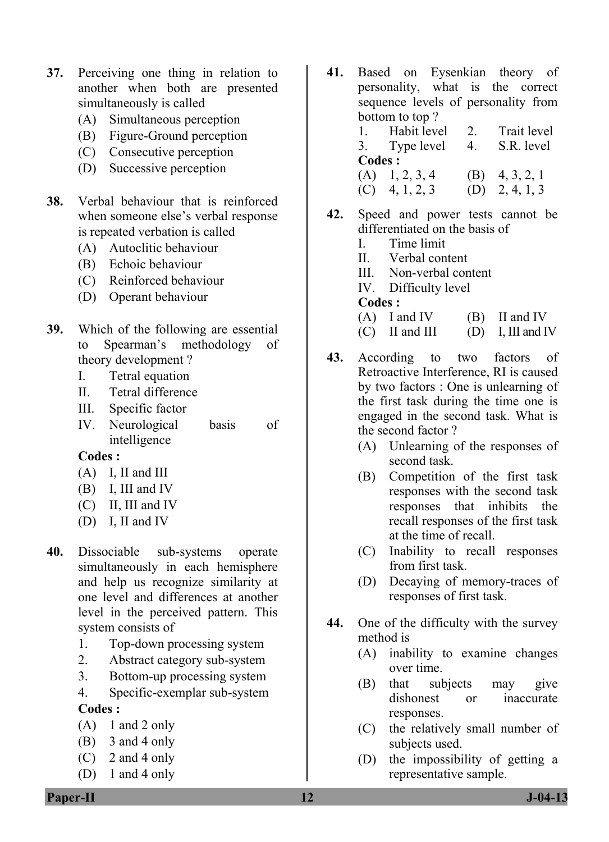- **37.** Perceiving one thing in relation to another when both are presented simultaneously is called
	- (A) Simultaneous perception
	- (B) Figure-Ground perception
	- (C) Consecutive perception
	- (D) Successive perception
- **38.** Verbal behaviour that is reinforced when someone else's verbal response is repeated verbation is called
	- (A) Autoclitic behaviour
	- (B) Echoic behaviour
	- (C) Reinforced behaviour
	- (D) Operant behaviour
- **39.** Which of the following are essential to Spearman's methodology of theory development ?
	- I. Tetral equation
	- II. Tetral difference
	- III. Specific factor
	- IV. Neurological basis of intelligence

## **Codes :**

- (A) I, II and III
- (B) I, III and IV
- (C) II, III and IV
- (D) I, II and IV
- **40.** Dissociable sub-systems operate simultaneously in each hemisphere and help us recognize similarity at one level and differences at another level in the perceived pattern. This system consists of
	- 1. Top-down processing system
	- 2. Abstract category sub-system
	- 3. Bottom-up processing system
	- 4. Specific-exemplar sub-system

## **Codes :**

- $(A)$  1 and 2 only
- (B) 3 and 4 only
- (C) 2 and 4 only
- (D) 1 and 4 only

**41.** Based on Eysenkian theory of personality, what is the correct sequence levels of personality from bottom to top ? 1. Habit level 2. Trait level

> 3. Type level 4. S.R. level **Codes :**  (A)  $1, 2, 3, 4$  (B)  $4, 3, 2, 1$

- (C)  $4, 1, 2, 3$  (D)  $2, 4, 1, 3$
- **42.** Speed and power tests cannot be differentiated on the basis of
	- I. Time limit
	- II. Verbal content
	- III. Non-verbal content
	- IV. Difficulty level

#### **Codes :**

- $(A)$  I and IV  $(B)$  II and IV
- $(C)$  II and III (D) I, III and IV
- **43.** According to two factors of Retroactive Interference, RI is caused by two factors : One is unlearning of the first task during the time one is engaged in the second task. What is the second factor ?
	- (A) Unlearning of the responses of second task.
	- (B) Competition of the first task responses with the second task responses that inhibits the recall responses of the first task at the time of recall.
	- (C) Inability to recall responses from first task.
	- (D) Decaying of memory-traces of responses of first task.
- **44.** One of the difficulty with the survey method is
	- (A) inability to examine changes over time.
	- (B) that subjects may give dishonest or inaccurate responses.
	- (C) the relatively small number of subjects used.
	- (D) the impossibility of getting a representative sample.

**Paper-II 12** J-04-13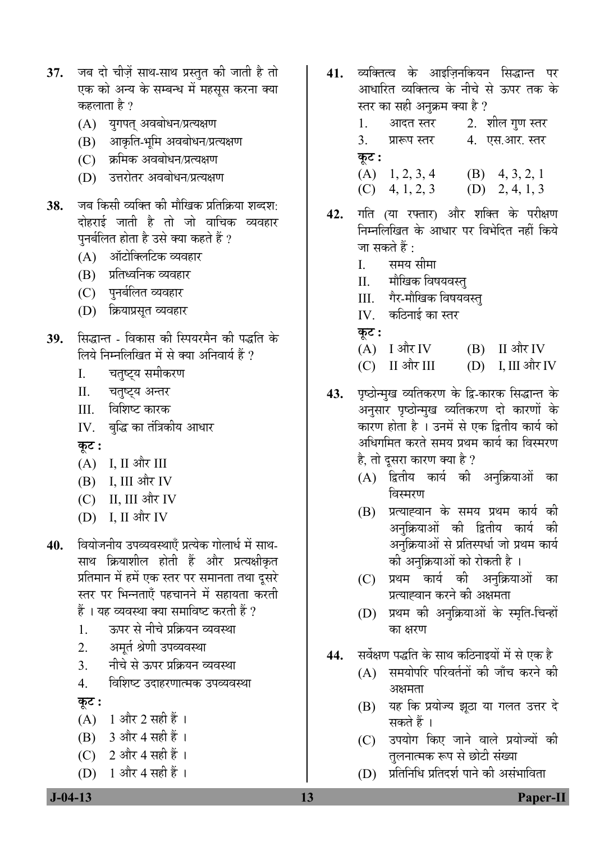- 37. जब दो चीज़ें साथ-साथ प्रस्तुत की जाती है तो एक को अन्य के सम्बन्ध में महसूस करना क्या कहलाता है ?
	- (A) युगपत् अवबोधन/प्रत्यक्षण
	- $(B)$  आकृति-भूमि अवबोधन/प्रत्यक्षण
	- (C) क्रमिक अवबोधन/प्रत्यक्षण
	- (D) उत्तरोतर अवबोधन/प्रत्यक्षण
- **38.** जब किसी व्यक्ति की मौखिक प्रतिक्रिया शब्दश: दोहराई जाती है तो जो वाचिक व्यवहार पुनर्बलित होता है उसे क्या कहते हैं ?
	- (A) ऑटोक्लिटिक व्यवहार
	- (B) प्रतिध्वनिक व्यवहार
	- (C) पुनर्बलित व्यवहार
	- (D) क्रियाप्रसृत व्यवहार
- 39. सिद्धान्त विकास की स्पियरमैन की पद्धति के लिये निम्नलिखित में से क्या अनिवार्य हैं ?
	- I. चतुष्ट्य समीकरण
	- II. चतुष्ट्य अन्तर
	- III. विशिष्ट कारक
	- IV. बुद्धि का तंत्रिकीय आधार

**Ûæú™ü :** 

- $(A)$  I, II और III
- $(B)$  I, III और IV
- (C) II, III और IV
- (D) I, II और IV
- 40. वियोजनीय उपव्यवस्थाएँ प्रत्येक गोलार्ध में साथ-साथ क्रियाशील होती हैं और प्रत्यक्षीकृत प्रतिमान में हमें एक स्तर पर समानता तथा दूसरे स्तर पर भिन्नताएँ पहचानने में सहायता करती  $\ddot{\tilde{\bf g}}$ । यह व्यवस्था क्या समाविष्ट करती हैं ?
	- 1. ⊙ ऊपर से नीचे प्रक्रियन व्यवस्था
	- 2. अमूर्त श्रेणी उपव्यवस्था
	- <u>3</u>. नीचे से ऊपर प्रक्रियन व्यवस्था
	- 4. विशिष्ट उदाहरणात्मक उपव्यवस्था
	- <u>क</u>ट :
	- (A) 1 और 2 सही हैं।
	- $(B)$  3 और 4 सही हैं ।
	- (C) 2 और 4 सही हैं ।
	- $(D)$  1 और 4 सही हैं ।
- <mark>41.</mark> व्यक्तित्व के आइजिनकियन सिद्धान्त पर आधारित व्यक्तित्व के नीचे से ऊपर तक के स्तर का सही अनुक्रम क्या है ?
	- 1. आदत स्तर 2. शील गुण स्तर 3. प्रारूप स्तर a 4. एस.आर. स्तर **Ûæú™ü :**  (A) 1, 2, 3, 4 (B) 4, 3, 2, 1  $(C)$  4, 1, 2, 3 (D) 2, 4, 1, 3
- 42. गति (या रफ्तार) और शक्ति के परीक्षण निम्नलिखित के आधार पर विभेदित नहीं किये जा सकते हैं :
	- I. समय सीमा
	- II. मौखिक विषयवस्त्
	- III. गैर-मौखिक विषयवस्त्
	- $IV_{\cdot}$  कठिनाई का स्तर
	- $\Phi$ **:**
	- $(A)$  I और IV  $(B)$  II और IV
	- $(C)$  II और III (D) I, III और IV
- 43. पृष्ठोन्मुख व्यतिकरण के द्वि-कारक सिद्धान्त के अनुसार पृष्ठोन्मुख व्यतिकरण दो कारणों के कारण होता है । उनमें से एक द्वितीय कार्य को अधिगमित करते समय प्रथम कार्य का विस्मरण है, तो दूसरा कारण क्या है ?
	- (A) द्वितीय कार्य की अनुक्रियाओं का विस्मरण
	- (B) प्रत्याह्वान के समय प्रथम कार्य की अनुक्रियाओं की द्वितीय कार्य की अनुक्रियाओं से प्रतिस्पर्धा जो प्रथम कार्य की अनुक्रियाओं को रोकती है ।
	- (C) प्रथम कार्य की अनुक्रियाओं का प्रत्याह्वान करने की अक्षमता
	- (D) प्रथम को अनुक्रियाओं के स्मृति-चिन्हों का क्षरण
- 44. सर्वेक्षण पद्धति के साथ कठिनाइयों में से एक है
	- $(A)$  समयोपरि परिवर्तनों की जाँच करने की अक्षमता
	- (B) यह कि प्रयोज्य झठा या गलत उत्तर दे सकते हैं ।
	- (C) उपयोग किए जाने वाले प्रयोज्यों की तुलनात्मक रूप से छोटी संख्या
	- (D) प्रतिनिधि प्रतिदर्श पाने की असंभाविता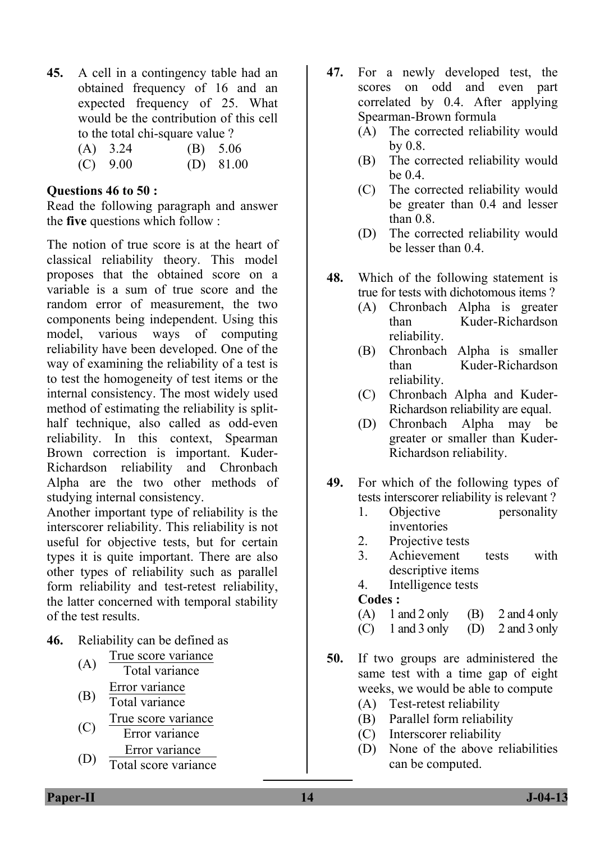**45.** A cell in a contingency table had an obtained frequency of 16 and an expected frequency of 25. What would be the contribution of this cell to the total chi-square value ?

| $(A)$ 3.24 | (B) 5.06    |
|------------|-------------|
| $(C)$ 9.00 | $(D)$ 81.00 |

#### **Questions 46 to 50 :**

Read the following paragraph and answer the **five** questions which follow :

The notion of true score is at the heart of classical reliability theory. This model proposes that the obtained score on a variable is a sum of true score and the random error of measurement, the two components being independent. Using this model, various ways of computing reliability have been developed. One of the way of examining the reliability of a test is to test the homogeneity of test items or the internal consistency. The most widely used method of estimating the reliability is splithalf technique, also called as odd-even reliability. In this context, Spearman Brown correction is important. Kuder-Richardson reliability and Chronbach Alpha are the two other methods of studying internal consistency.

Another important type of reliability is the interscorer reliability. This reliability is not useful for objective tests, but for certain types it is quite important. There are also other types of reliability such as parallel form reliability and test-retest reliability, the latter concerned with temporal stability of the test results.

- **46.** Reliability can be defined as
	- (A) True score variance Total variance (B)  $\frac{\text{Error variance}}{\text{Total variance}}$ Total variance (C)  $\frac{\text{True score variance}}{\text{Error variance}}$ Error variance (D) Error variance
	- Total score variance
- **47.** For a newly developed test, the scores on odd and even part correlated by 0.4. After applying Spearman-Brown formula
	- (A) The corrected reliability would by 0.8.
	- (B) The corrected reliability would be 0.4.
	- (C) The corrected reliability would be greater than 0.4 and lesser than 0.8.
	- (D) The corrected reliability would be lesser than 0.4.
- **48.** Which of the following statement is true for tests with dichotomous items ?
	- (A) Chronbach Alpha is greater than Kuder-Richardson reliability.
	- (B) Chronbach Alpha is smaller than Kuder-Richardson reliability.
	- (C) Chronbach Alpha and Kuder-Richardson reliability are equal.
	- (D) Chronbach Alpha may be greater or smaller than Kuder-Richardson reliability.
- **49.** For which of the following types of tests interscorer reliability is relevant ?
	- 1. Objective personality inventories
	- 2. Projective tests
	- 3. Achievement tests with descriptive items
	- 4. Intelligence tests

#### **Codes :**

- (A)  $1$  and  $2$  only (B)  $2$  and  $4$  only
- (C) 1 and 3 only (D) 2 and 3 only
- **50.** If two groups are administered the same test with a time gap of eight weeks, we would be able to compute
	- (A) Test-retest reliability
	- (B) Parallel form reliability
	- (C) Interscorer reliability
	- (D) None of the above reliabilities can be computed.

**Paper-II** J-04-13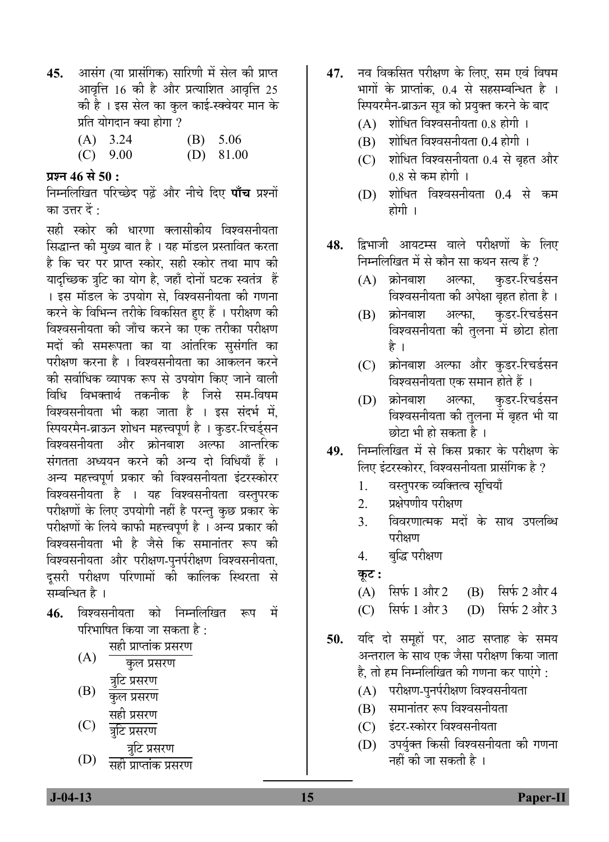- **45.** आसंग (या प्रासंगिक) सारिणी में सेल की प्राप्त आवृत्ति  $16$  की है और प्रत्याशित आवृत्ति 25 की है । इस सेल का कुल काई-स्क्वेयर मान के प्रति योगदान क्या होगा ?
	- (A) 3.24 (B) 5.06
	- (C) 9.00 (D) 81.00

## **प्रश्न 46 से 50 :**

निम्नलिखित परिच्छेद पढ़ें और नीचे दिए **पाँच** प्रश्नों का उत्तर दें  $\cdot$ 

सही स्कोर की धारणा क्लासीकीय विश्वसनीयता सिद्धान्त की मुख्य बात है । यह मॉडल प्रस्तावित करता है कि चर पर प्राप्त स्कोर, सही स्कोर तथा माप की यादच्छिक त्रटि का योग है. जहाँ दोनों घटक स्वतंत्र हैं । इस मॉडल के उपयोग से, विश्वसनीयता की गणना करने के विभिन्न तरीके विकसित हुए हैं । परीक्षण की विश्वसनीयता की जाँच करने का एक तरीका परीक्षण मदों की समरूपता का या आंतरिक सुसंगति का परीक्षण करना है । विश्वसनीयता का आकलन करने को सर्वाधिक व्यापक रूप से उपयोग किए जाने वाली विधि विभक्तार्थ तकनीक है जिसे सम-विषम विश्वसनीयता भी कहा जाता है । इस संदर्भ में स्पियरमैन-ब्राऊन शोधन महत्त्वपूर्ण है । कुडर-रिचर्ड्सन विश्वसनीयता और क्रोनबाश अल्फा आन्तरिक संगतता अध्ययन करने की अन्य दो विधियाँ हैं । अन्य महत्त्वपूर्ण प्रकार की विश्वसनीयता इंटरस्कोरर विश्वसनीयता है । यह विश्वसनीयता वस्तुपरक परीक्षणों के लिए उपयोगी नहीं है परन्तु कुछ प्रकार के परीक्षणों के लिये काफी महत्त्वपूर्ण है । अन्य प्रकार की विश्वसनीयता भी है जैसे कि समानांतर रूप की विश्वसनीयता और परीक्षण-पुनर्परीक्षण विश्वसनीयता, दुसरी परीक्षण परिणामों की कालिक स्थिरता स<mark>े</mark> सम्बन्धित है ।

**46.** विश्वसनीयता को निम्नलिखित रूप में परिभाषित किया जा सकता है $\, \cdot \,$ 

सही प्राप्तांक प्रसरण

- (A) कुल प्रसरण  $(B)$   $\frac{3\overline{c}}{\sqrt{c}} \frac{\overline{y}}{\sqrt{c}} \frac{\overline{y}}{\sqrt{c}}$ कुल प्रसरण
	- सही प्रसरण
- (C) त्रटि प्रसरण
- (D) ¡Öã×™ü ¯ÖÏÃÖ¸üÞÖ ÃÖÆüß ¯ÖÏÖ¯ŸÖÖÓÛú ¯ÖÏÃÖ¸üÞÖ
- 47. नव विकसित परीक्षण के लिए, सम एवं विषम भागों के प्राप्तांक. 0.4 से सहसम्बन्धित है । स्पियरमैन-ब्राऊन सूत्र को प्रयुक्त करने के बाद
	- $(A)$  शोधित विश्वसनीयता  $0.8$  होगी ।
	- $(B)$  शोधित विश्वसनीयता  $0.4$  होगी ।
	- (C) शोधित विश्वसनीयता 0.4 से बृहत और 0.8 से कम होगी ।
	- (D) शोधित विश्वसनीयता 0.4 से कम होगी ।
- 48. द्विभाजी आयटम्स वाले परीक्षणों के लिए निम्नलिखित में से कौन सा कथन सत्य हैं ?
	- (A) क्रोनबाश अल्फा, कुडर-रिचर्डसन विश्वसनीयता की अपेक्षा बृहत होता है ।
	- (B) क्रोनबाश अल्फा, कडर-रिचर्डसन विश्वसनीयता की तुलना में छोटा होता है ।
	- (C) क्रोनबाश अल्फा और कुडर-रिचर्डसन विश्वसनीयता एक समान होते हैं ।
	- (D) क्रोनबाश अल्फा, कुडर-रिचर्डसन विश्वसनीयता की तुलना में बृहत भी या छोटा भी हो सकता है ।
- 49. निम्नलिखित में से किस प्रकार के परीक्षण के लिए इंटरस्कोरर, विश्वसनीयता प्रासंगिक है ?
	- 1. वस्तुपरक व्यक्तित्व सुचियाँ
	- 2. प्रक्षेपणीय परीक्षण
	- 3. विवरणात्मक मदों के साथ उपलब्धि परीक्षण
	- 4. बुद्धि परीक्षण
	- <u>क</u>ट :
	- $(A)$  सिर्फ 1 और 2 (B) सिर्फ 2 और 4
	- $(C)$  सिर्फ 1 और 3 (D) सिर्फ 2 और 3
- **50.** यदि दो समूहों पर, आठ सप्ताह के समय अन्तराल के साथ एक जैसा परीक्षण किया जाता है, तो हम निम्नलिखित की गणना कर पाएंगे :
	- $(A)$  परीक्षण-पुनर्परीक्षण विश्वसनीयता
	- $(B)$  समानांतर रूप विश्वसनीयता
	- (C) इंटर-स्कोरर विश्वसनीयता
	- $(D)$  उपर्युक्त किसी विश्वसनीयता की गणना नहीं की जा सकती है ।